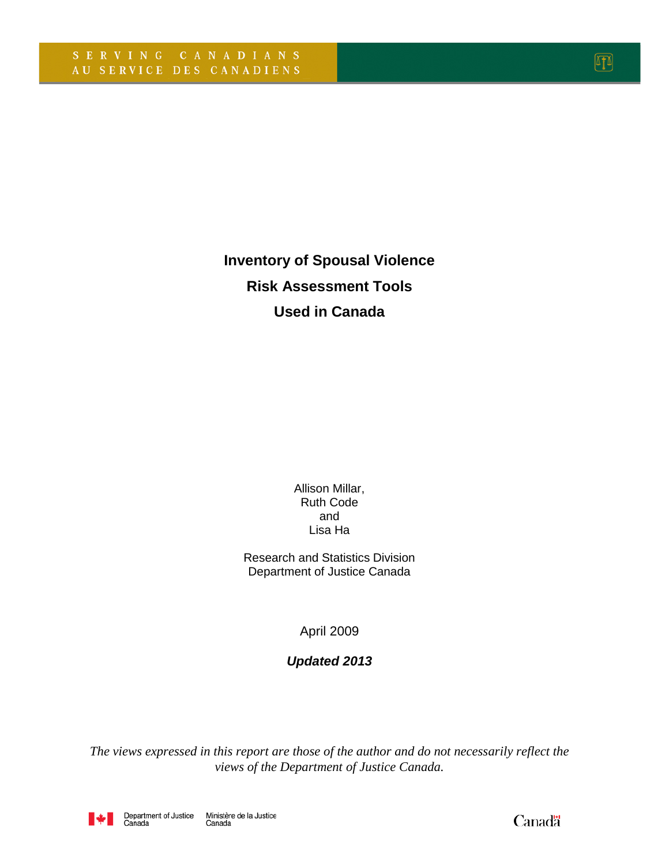**Inventory of Spousal Violence Risk Assessment Tools Used in Canada**

> Allison Millar, Ruth Code and Lisa Ha

Research and Statistics Division Department of Justice Canada

April 2009

### *Updated 2013*

<span id="page-0-0"></span>*The views expressed in this report are those of the author and do not necessarily reflect the views of the Department of Justice Canada.*



Canadä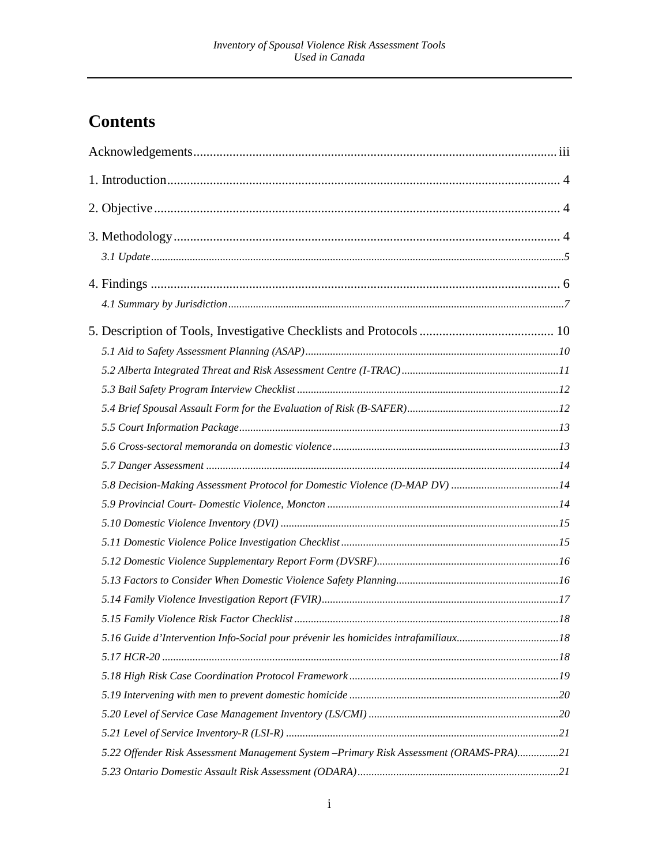# **Contents**

| 5.8 Decision-Making Assessment Protocol for Domestic Violence (D-MAP DV) 14            |  |
|----------------------------------------------------------------------------------------|--|
|                                                                                        |  |
|                                                                                        |  |
|                                                                                        |  |
|                                                                                        |  |
|                                                                                        |  |
|                                                                                        |  |
|                                                                                        |  |
|                                                                                        |  |
|                                                                                        |  |
|                                                                                        |  |
|                                                                                        |  |
|                                                                                        |  |
|                                                                                        |  |
| 5.22 Offender Risk Assessment Management System -Primary Risk Assessment (ORAMS-PRA)21 |  |
|                                                                                        |  |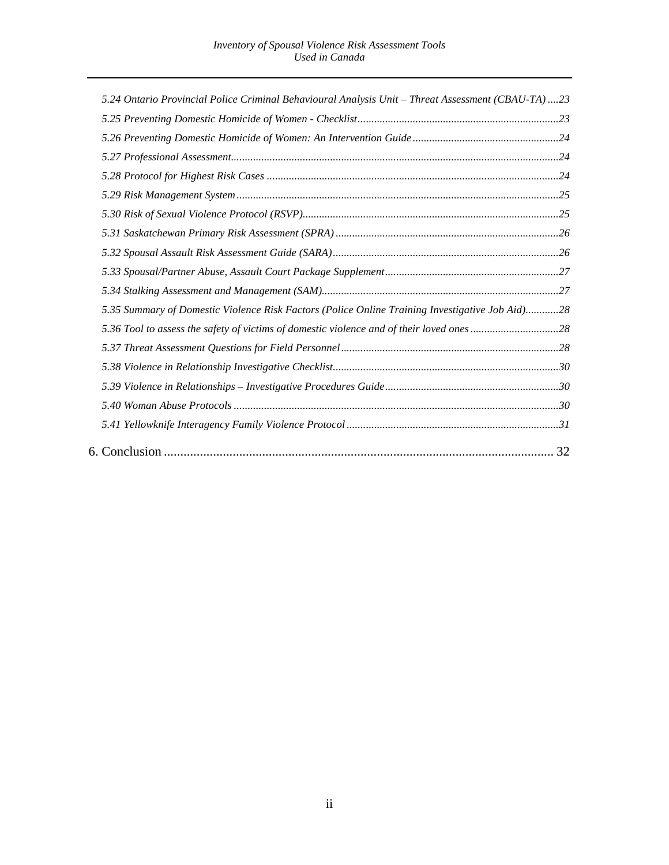| 5.24 Ontario Provincial Police Criminal Behavioural Analysis Unit - Threat Assessment (CBAU-TA)23 |
|---------------------------------------------------------------------------------------------------|
|                                                                                                   |
|                                                                                                   |
|                                                                                                   |
|                                                                                                   |
|                                                                                                   |
|                                                                                                   |
|                                                                                                   |
|                                                                                                   |
|                                                                                                   |
|                                                                                                   |
| 5.35 Summary of Domestic Violence Risk Factors (Police Online Training Investigative Job Aid)28   |
|                                                                                                   |
|                                                                                                   |
|                                                                                                   |
|                                                                                                   |
|                                                                                                   |
|                                                                                                   |
|                                                                                                   |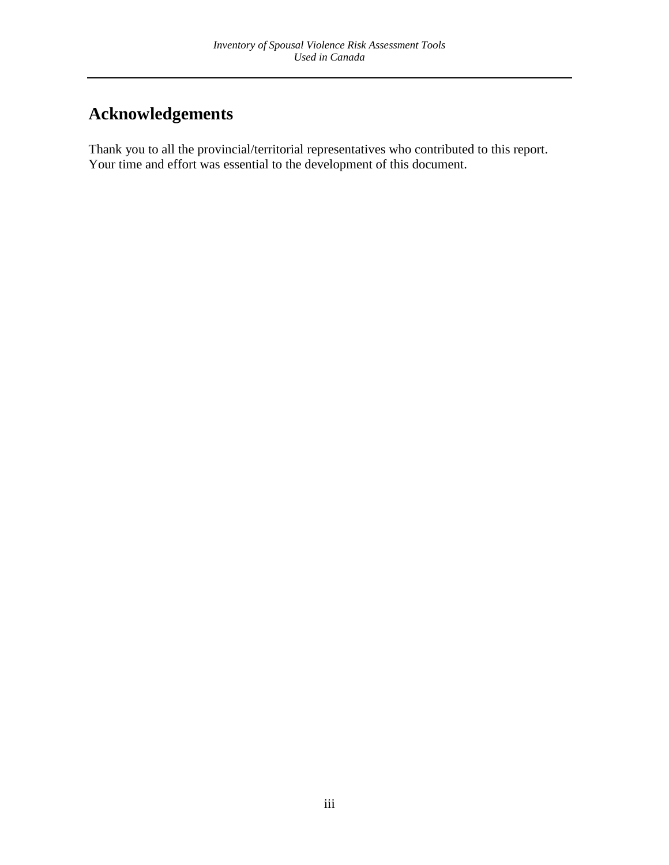# <span id="page-3-0"></span>**Acknowledgements**

Thank you to all the provincial/territorial representatives who contributed to this report. Your time and effort was essential to the development of this document.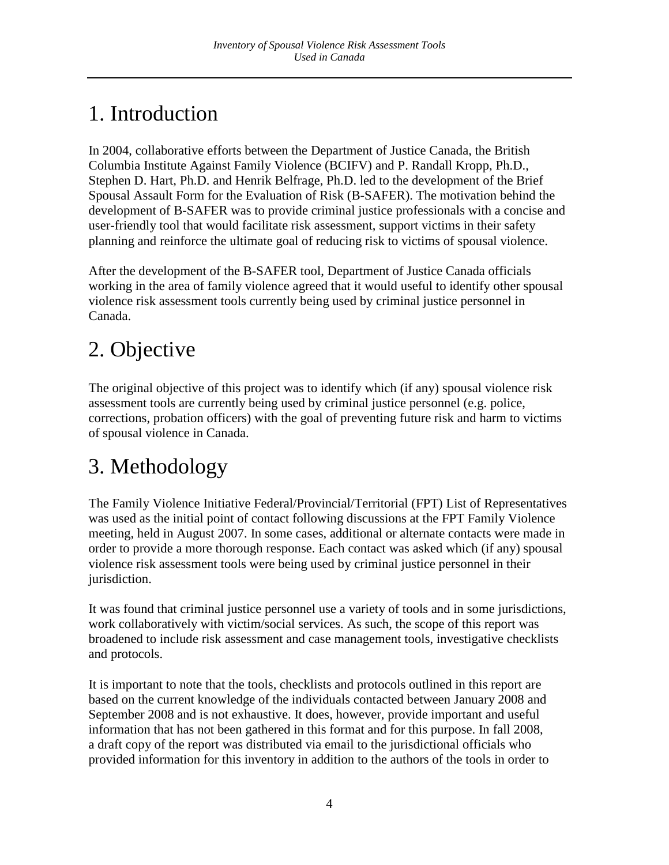# <span id="page-4-0"></span>1. Introduction

In 2004, collaborative efforts between the Department of Justice Canada, the British Columbia Institute Against Family Violence (BCIFV) and P. Randall Kropp, Ph.D., Stephen D. Hart, Ph.D. and Henrik Belfrage, Ph.D. led to the development of the Brief Spousal Assault Form for the Evaluation of Risk (B-SAFER). The motivation behind the development of B-SAFER was to provide criminal justice professionals with a concise and user-friendly tool that would facilitate risk assessment, support victims in their safety planning and reinforce the ultimate goal of reducing risk to victims of spousal violence.

After the development of the B-SAFER tool, Department of Justice Canada officials working in the area of family violence agreed that it would useful to identify other spousal violence risk assessment tools currently being used by criminal justice personnel in Canada.

# <span id="page-4-1"></span>2. Objective

The original objective of this project was to identify which (if any) spousal violence risk assessment tools are currently being used by criminal justice personnel (e.g. police, corrections, probation officers) with the goal of preventing future risk and harm to victims of spousal violence in Canada.

# <span id="page-4-2"></span>3. Methodology

The Family Violence Initiative Federal/Provincial/Territorial (FPT) List of Representatives was used as the initial point of contact following discussions at the FPT Family Violence meeting, held in August 2007. In some cases, additional or alternate contacts were made in order to provide a more thorough response. Each contact was asked which (if any) spousal violence risk assessment tools were being used by criminal justice personnel in their jurisdiction.

It was found that criminal justice personnel use a variety of tools and in some jurisdictions, work collaboratively with victim/social services. As such, the scope of this report was broadened to include risk assessment and case management tools, investigative checklists and protocols.

It is important to note that the tools, checklists and protocols outlined in this report are based on the current knowledge of the individuals contacted between January 2008 and September 2008 and is not exhaustive. It does, however, provide important and useful information that has not been gathered in this format and for this purpose. In fall 2008, a draft copy of the report was distributed via email to the jurisdictional officials who provided information for this inventory in addition to the authors of the tools in order to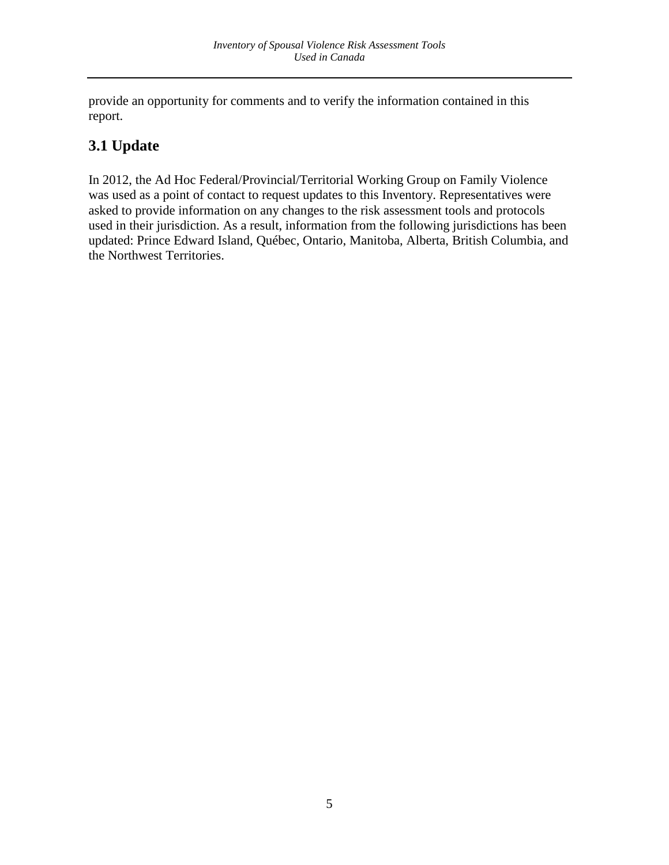provide an opportunity for comments and to verify the information contained in this report.

# <span id="page-5-0"></span>**3.1 Update**

In 2012, the Ad Hoc Federal/Provincial/Territorial Working Group on Family Violence was used as a point of contact to request updates to this Inventory. Representatives were asked to provide information on any changes to the risk assessment tools and protocols used in their jurisdiction. As a result, information from the following jurisdictions has been updated: Prince Edward Island, Québec, Ontario, Manitoba, Alberta, British Columbia, and the Northwest Territories.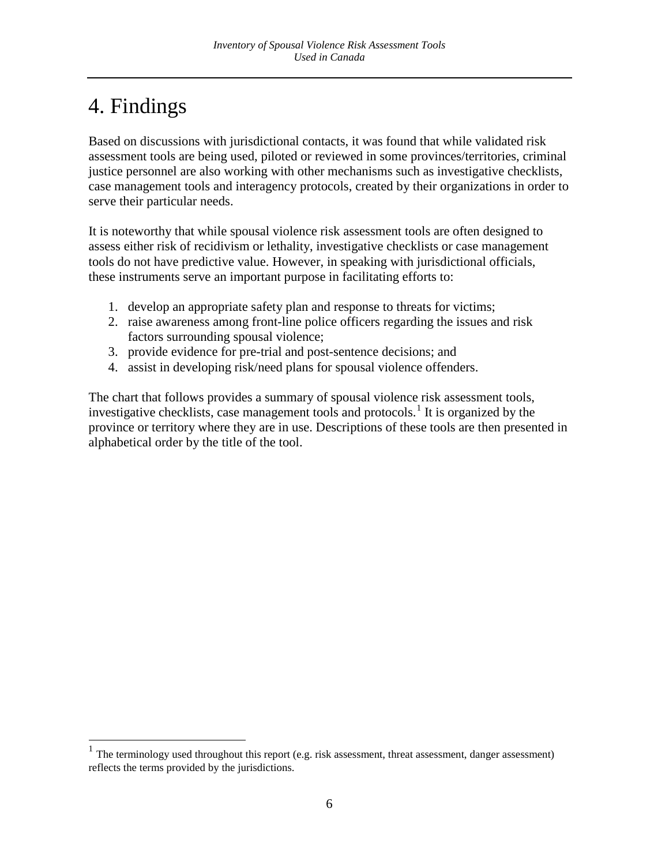# <span id="page-6-0"></span>4. Findings

Based on discussions with jurisdictional contacts, it was found that while validated risk assessment tools are being used, piloted or reviewed in some provinces/territories, criminal justice personnel are also working with other mechanisms such as investigative checklists, case management tools and interagency protocols, created by their organizations in order to serve their particular needs.

It is noteworthy that while spousal violence risk assessment tools are often designed to assess either risk of recidivism or lethality, investigative checklists or case management tools do not have predictive value. However, in speaking with jurisdictional officials, these instruments serve an important purpose in facilitating efforts to:

- 1. develop an appropriate safety plan and response to threats for victims;
- 2. raise awareness among front-line police officers regarding the issues and risk factors surrounding spousal violence;
- 3. provide evidence for pre-trial and post-sentence decisions; and
- 4. assist in developing risk/need plans for spousal violence offenders.

The chart that follows provides a summary of spousal violence risk assessment tools, investigative checklists, case management tools and protocols.<sup>[1](#page-0-0)</sup> It is organized by the province or territory where they are in use. Descriptions of these tools are then presented in alphabetical order by the title of the tool.

<span id="page-6-1"></span> $1$  The terminology used throughout this report (e.g. risk assessment, threat assessment, danger assessment) reflects the terms provided by the jurisdictions.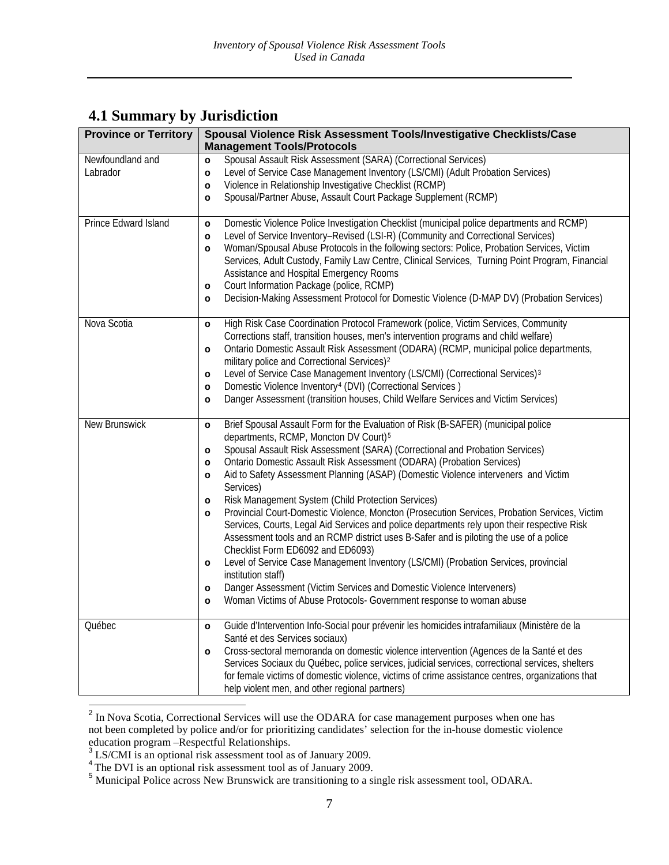# <span id="page-7-0"></span>**4.1 Summary by Jurisdiction**

| <b>Province or Territory</b> | Spousal Violence Risk Assessment Tools/Investigative Checklists/Case<br><b>Management Tools/Protocols</b>                                                                                 |  |
|------------------------------|-------------------------------------------------------------------------------------------------------------------------------------------------------------------------------------------|--|
| Newfoundland and             | Spousal Assault Risk Assessment (SARA) (Correctional Services)<br>$\circ$                                                                                                                 |  |
| Labrador                     | Level of Service Case Management Inventory (LS/CMI) (Adult Probation Services)<br>$\circ$                                                                                                 |  |
|                              | Violence in Relationship Investigative Checklist (RCMP)<br>$\circ$<br>Spousal/Partner Abuse, Assault Court Package Supplement (RCMP)<br>$\circ$                                           |  |
|                              |                                                                                                                                                                                           |  |
| Prince Edward Island         | Domestic Violence Police Investigation Checklist (municipal police departments and RCMP)<br>$\circ$                                                                                       |  |
|                              | Level of Service Inventory-Revised (LSI-R) (Community and Correctional Services)<br>$\circ$<br>Woman/Spousal Abuse Protocols in the following sectors: Police, Probation Services, Victim |  |
|                              | $\circ$<br>Services, Adult Custody, Family Law Centre, Clinical Services, Turning Point Program, Financial<br>Assistance and Hospital Emergency Rooms                                     |  |
|                              | Court Information Package (police, RCMP)<br>$\circ$                                                                                                                                       |  |
|                              | Decision-Making Assessment Protocol for Domestic Violence (D-MAP DV) (Probation Services)<br>$\circ$                                                                                      |  |
|                              |                                                                                                                                                                                           |  |
| Nova Scotia                  | High Risk Case Coordination Protocol Framework (police, Victim Services, Community<br>$\circ$<br>Corrections staff, transition houses, men's intervention programs and child welfare)     |  |
|                              | Ontario Domestic Assault Risk Assessment (ODARA) (RCMP, municipal police departments,<br>$\circ$                                                                                          |  |
|                              | military police and Correctional Services) <sup>2</sup>                                                                                                                                   |  |
|                              | Level of Service Case Management Inventory (LS/CMI) (Correctional Services) <sup>3</sup><br>$\circ$                                                                                       |  |
|                              | Domestic Violence Inventory <sup>4</sup> (DVI) (Correctional Services)<br>$\circ$                                                                                                         |  |
|                              | Danger Assessment (transition houses, Child Welfare Services and Victim Services)<br>$\circ$                                                                                              |  |
| New Brunswick                | Brief Spousal Assault Form for the Evaluation of Risk (B-SAFER) (municipal police<br>$\circ$                                                                                              |  |
|                              | departments, RCMP, Moncton DV Court) <sup>5</sup><br>Spousal Assault Risk Assessment (SARA) (Correctional and Probation Services)                                                         |  |
|                              | $\circ$<br>Ontario Domestic Assault Risk Assessment (ODARA) (Probation Services)<br>$\circ$                                                                                               |  |
|                              | Aid to Safety Assessment Planning (ASAP) (Domestic Violence interveners and Victim<br>$\circ$                                                                                             |  |
|                              | Services)                                                                                                                                                                                 |  |
|                              | Risk Management System (Child Protection Services)<br>$\circ$                                                                                                                             |  |
|                              | Provincial Court-Domestic Violence, Moncton (Prosecution Services, Probation Services, Victim<br>$\circ$                                                                                  |  |
|                              | Services, Courts, Legal Aid Services and police departments rely upon their respective Risk<br>Assessment tools and an RCMP district uses B-Safer and is piloting the use of a police     |  |
|                              | Checklist Form ED6092 and ED6093)                                                                                                                                                         |  |
|                              | Level of Service Case Management Inventory (LS/CMI) (Probation Services, provincial<br>$\circ$<br>institution staff)                                                                      |  |
|                              | Danger Assessment (Victim Services and Domestic Violence Interveners)<br>$\circ$                                                                                                          |  |
|                              | Woman Victims of Abuse Protocols- Government response to woman abuse<br>$\circ$                                                                                                           |  |
|                              |                                                                                                                                                                                           |  |
| Québec                       | Guide d'Intervention Info-Social pour prévenir les homicides intrafamiliaux (Ministère de la<br>$\circ$<br>Santé et des Services sociaux)                                                 |  |
|                              | Cross-sectoral memoranda on domestic violence intervention (Agences de la Santé et des<br>$\circ$                                                                                         |  |
|                              | Services Sociaux du Québec, police services, judicial services, correctional services, shelters                                                                                           |  |
|                              | for female victims of domestic violence, victims of crime assistance centres, organizations that                                                                                          |  |
|                              | help violent men, and other regional partners)                                                                                                                                            |  |

<sup>&</sup>lt;sup>2</sup> In Nova Scotia, Correctional Services will use the ODARA for case management purposes when one has not been completed by police and/or for prioritizing candidates' selection for the in-house domestic violence

<span id="page-7-1"></span>education program –Respectful Relationships.<br><sup>3</sup> LS/CMI is an optional risk assessment tool as of January 2009.

<span id="page-7-3"></span><span id="page-7-2"></span>

<sup>&</sup>lt;sup>4</sup> The DVI is an optional risk assessment tool as of January 2009.<br><sup>5</sup> Municipal Police across New Brunswick are transitioning to a single risk assessment tool, ODARA.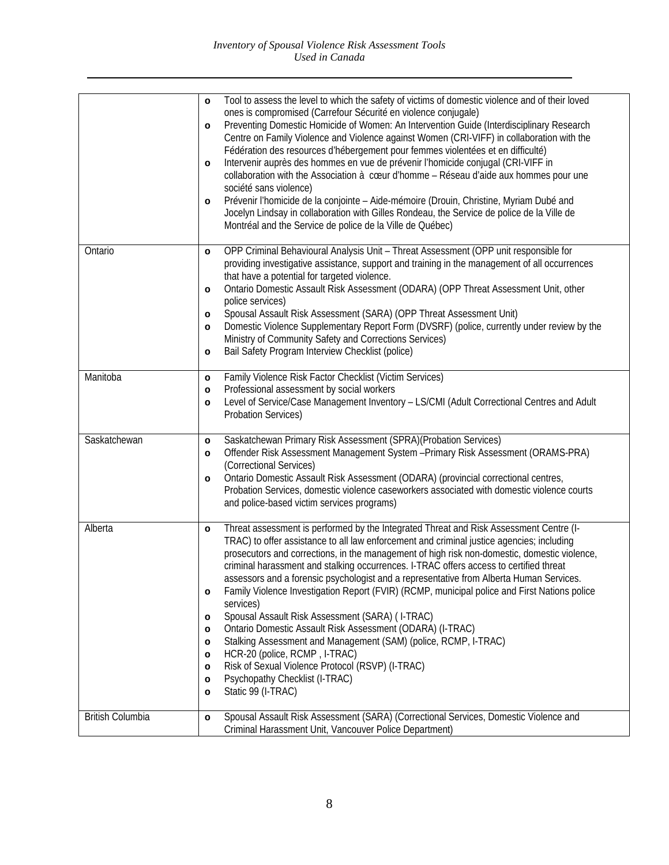|                  | Tool to assess the level to which the safety of victims of domestic violence and of their loved<br>$\circ$<br>ones is compromised (Carrefour Sécurité en violence conjugale)<br>Preventing Domestic Homicide of Women: An Intervention Guide (Interdisciplinary Research<br>$\circ$<br>Centre on Family Violence and Violence against Women (CRI-VIFF) in collaboration with the<br>Fédération des resources d'hébergement pour femmes violentées et en difficulté)<br>Intervenir auprès des hommes en vue de prévenir l'homicide conjugal (CRI-VIFF in<br>$\circ$<br>collaboration with the Association à cœur d'homme - Réseau d'aide aux hommes pour une<br>société sans violence)<br>Prévenir l'homicide de la conjointe - Aide-mémoire (Drouin, Christine, Myriam Dubé and<br>$\circ$<br>Jocelyn Lindsay in collaboration with Gilles Rondeau, the Service de police de la Ville de<br>Montréal and the Service de police de la Ville de Québec)                                                       |
|------------------|-------------------------------------------------------------------------------------------------------------------------------------------------------------------------------------------------------------------------------------------------------------------------------------------------------------------------------------------------------------------------------------------------------------------------------------------------------------------------------------------------------------------------------------------------------------------------------------------------------------------------------------------------------------------------------------------------------------------------------------------------------------------------------------------------------------------------------------------------------------------------------------------------------------------------------------------------------------------------------------------------------------|
| Ontario          | OPP Criminal Behavioural Analysis Unit - Threat Assessment (OPP unit responsible for<br>$\circ$<br>providing investigative assistance, support and training in the management of all occurrences<br>that have a potential for targeted violence.<br>Ontario Domestic Assault Risk Assessment (ODARA) (OPP Threat Assessment Unit, other<br>$\circ$<br>police services)<br>Spousal Assault Risk Assessment (SARA) (OPP Threat Assessment Unit)<br>$\circ$<br>Domestic Violence Supplementary Report Form (DVSRF) (police, currently under review by the<br>$\circ$<br>Ministry of Community Safety and Corrections Services)<br>Bail Safety Program Interview Checklist (police)<br>$\circ$                                                                                                                                                                                                                                                                                                                  |
| Manitoba         | Family Violence Risk Factor Checklist (Victim Services)<br>$\circ$<br>Professional assessment by social workers<br>$\circ$<br>Level of Service/Case Management Inventory - LS/CMI (Adult Correctional Centres and Adult<br>$\circ$<br><b>Probation Services)</b>                                                                                                                                                                                                                                                                                                                                                                                                                                                                                                                                                                                                                                                                                                                                            |
| Saskatchewan     | Saskatchewan Primary Risk Assessment (SPRA)(Probation Services)<br>$\circ$<br>Offender Risk Assessment Management System - Primary Risk Assessment (ORAMS-PRA)<br>$\circ$<br>(Correctional Services)<br>Ontario Domestic Assault Risk Assessment (ODARA) (provincial correctional centres,<br>$\circ$<br>Probation Services, domestic violence caseworkers associated with domestic violence courts<br>and police-based victim services programs)                                                                                                                                                                                                                                                                                                                                                                                                                                                                                                                                                           |
| Alberta          | Threat assessment is performed by the Integrated Threat and Risk Assessment Centre (I-<br>$\circ$<br>TRAC) to offer assistance to all law enforcement and criminal justice agencies; including<br>prosecutors and corrections, in the management of high risk non-domestic, domestic violence,<br>criminal harassment and stalking occurrences. I-TRAC offers access to certified threat<br>assessors and a forensic psychologist and a representative from Alberta Human Services<br>Family Violence Investigation Report (FVIR) (RCMP, municipal police and First Nations police<br>o<br>services)<br>Spousal Assault Risk Assessment (SARA) (I-TRAC)<br>$\circ$<br>Ontario Domestic Assault Risk Assessment (ODARA) (I-TRAC)<br>$\circ$<br>Stalking Assessment and Management (SAM) (police, RCMP, I-TRAC)<br>$\circ$<br>HCR-20 (police, RCMP, I-TRAC)<br>$\circ$<br>Risk of Sexual Violence Protocol (RSVP) (I-TRAC)<br>$\circ$<br>Psychopathy Checklist (I-TRAC)<br>o<br>Static 99 (I-TRAC)<br>$\circ$ |
| British Columbia | Spousal Assault Risk Assessment (SARA) (Correctional Services, Domestic Violence and<br>$\circ$<br>Criminal Harassment Unit, Vancouver Police Department)                                                                                                                                                                                                                                                                                                                                                                                                                                                                                                                                                                                                                                                                                                                                                                                                                                                   |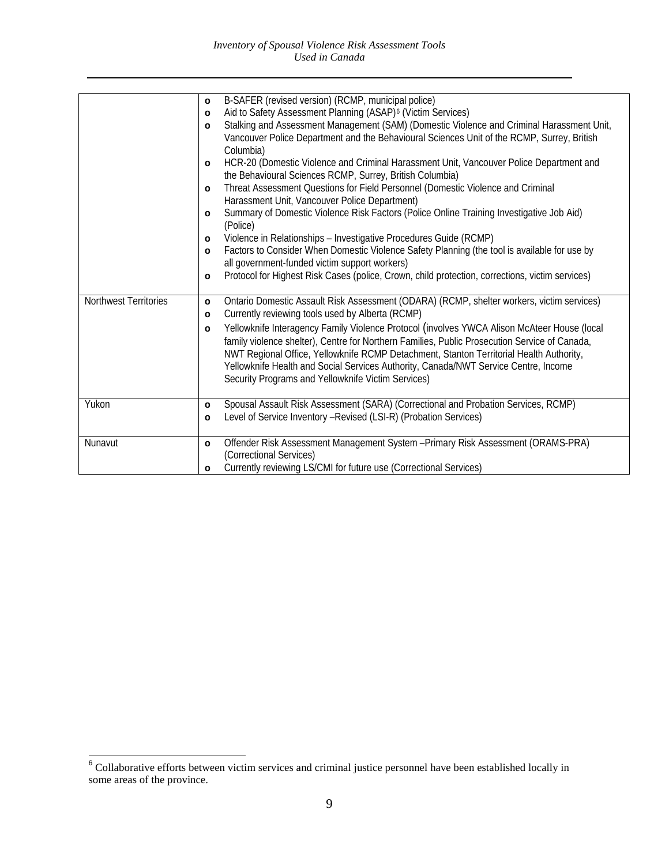|                       | B-SAFER (revised version) (RCMP, municipal police)<br>$\circ$<br>Aid to Safety Assessment Planning (ASAP) <sup>6</sup> (Victim Services)<br>$\circ$<br>Stalking and Assessment Management (SAM) (Domestic Violence and Criminal Harassment Unit,<br>$\circ$<br>Vancouver Police Department and the Behavioural Sciences Unit of the RCMP, Surrey, British<br>Columbia)<br>HCR-20 (Domestic Violence and Criminal Harassment Unit, Vancouver Police Department and<br>$\circ$<br>the Behavioural Sciences RCMP, Surrey, British Columbia)<br>Threat Assessment Questions for Field Personnel (Domestic Violence and Criminal<br>$\circ$<br>Harassment Unit, Vancouver Police Department)<br>Summary of Domestic Violence Risk Factors (Police Online Training Investigative Job Aid)<br>$\circ$<br>(Police)<br>Violence in Relationships - Investigative Procedures Guide (RCMP)<br>$\circ$<br>Factors to Consider When Domestic Violence Safety Planning (the tool is available for use by<br>$\circ$<br>all government-funded victim support workers)<br>Protocol for Highest Risk Cases (police, Crown, child protection, corrections, victim services)<br>$\circ$ |
|-----------------------|----------------------------------------------------------------------------------------------------------------------------------------------------------------------------------------------------------------------------------------------------------------------------------------------------------------------------------------------------------------------------------------------------------------------------------------------------------------------------------------------------------------------------------------------------------------------------------------------------------------------------------------------------------------------------------------------------------------------------------------------------------------------------------------------------------------------------------------------------------------------------------------------------------------------------------------------------------------------------------------------------------------------------------------------------------------------------------------------------------------------------------------------------------------------|
| Northwest Territories | Ontario Domestic Assault Risk Assessment (ODARA) (RCMP, shelter workers, victim services)<br>$\circ$<br>Currently reviewing tools used by Alberta (RCMP)<br>$\circ$<br>Yellowknife Interagency Family Violence Protocol (involves YWCA Alison McAteer House (local<br>$\circ$<br>family violence shelter), Centre for Northern Families, Public Prosecution Service of Canada,<br>NWT Regional Office, Yellowknife RCMP Detachment, Stanton Territorial Health Authority,<br>Yellowknife Health and Social Services Authority, Canada/NWT Service Centre, Income<br>Security Programs and Yellowknife Victim Services)                                                                                                                                                                                                                                                                                                                                                                                                                                                                                                                                               |
| Yukon                 | Spousal Assault Risk Assessment (SARA) (Correctional and Probation Services, RCMP)<br>o<br>Level of Service Inventory - Revised (LSI-R) (Probation Services)<br>$\circ$                                                                                                                                                                                                                                                                                                                                                                                                                                                                                                                                                                                                                                                                                                                                                                                                                                                                                                                                                                                              |
| Nunavut               | Offender Risk Assessment Management System - Primary Risk Assessment (ORAMS-PRA)<br>$\circ$<br>(Correctional Services)<br>Currently reviewing LS/CMI for future use (Correctional Services)<br>$\circ$                                                                                                                                                                                                                                                                                                                                                                                                                                                                                                                                                                                                                                                                                                                                                                                                                                                                                                                                                               |

<span id="page-9-0"></span> <sup>6</sup> Collaborative efforts between victim services and criminal justice personnel have been established locally in some areas of the province.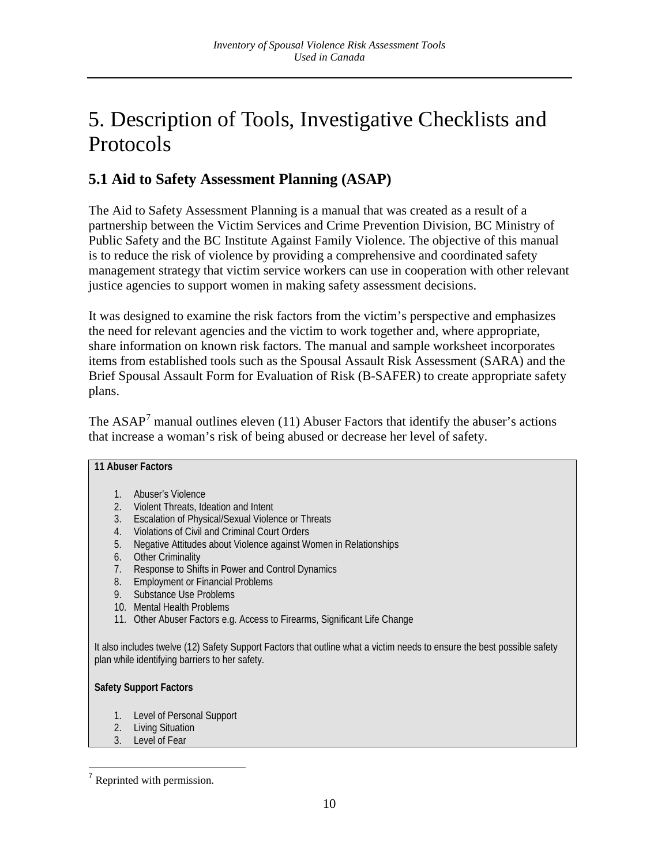# <span id="page-10-0"></span>5. Description of Tools, Investigative Checklists and Protocols

# <span id="page-10-1"></span>**5.1 Aid to Safety Assessment Planning (ASAP)**

The Aid to Safety Assessment Planning is a manual that was created as a result of a partnership between the Victim Services and Crime Prevention Division, BC Ministry of Public Safety and the BC Institute Against Family Violence. The objective of this manual is to reduce the risk of violence by providing a comprehensive and coordinated safety management strategy that victim service workers can use in cooperation with other relevant justice agencies to support women in making safety assessment decisions.

It was designed to examine the risk factors from the victim's perspective and emphasizes the need for relevant agencies and the victim to work together and, where appropriate, share information on known risk factors. The manual and sample worksheet incorporates items from established tools such as the Spousal Assault Risk Assessment (SARA) and the Brief Spousal Assault Form for Evaluation of Risk (B-SAFER) to create appropriate safety plans.

The ASAP<sup>[7](#page-9-0)</sup> manual outlines eleven (11) Abuser Factors that identify the abuser's actions that increase a woman's risk of being abused or decrease her level of safety.

#### **11 Abuser Factors**

- 1. Abuser's Violence
- 2. Violent Threats, Ideation and Intent
- 3. Escalation of Physical/Sexual Violence or Threats
- 4. Violations of Civil and Criminal Court Orders
- 5. Negative Attitudes about Violence against Women in Relationships
- 6. Other Criminality
- 7. Response to Shifts in Power and Control Dynamics
- 8. Employment or Financial Problems
- 9. Substance Use Problems
- 10. Mental Health Problems
- 11. Other Abuser Factors e.g. Access to Firearms, Significant Life Change

It also includes twelve (12) Safety Support Factors that outline what a victim needs to ensure the best possible safety plan while identifying barriers to her safety.

#### **Safety Support Factors**

- 1. Level of Personal Support
- 2. Living Situation

<sup>3.</sup> Level of Fear

<span id="page-10-2"></span> $<sup>7</sup>$  Reprinted with permission.</sup>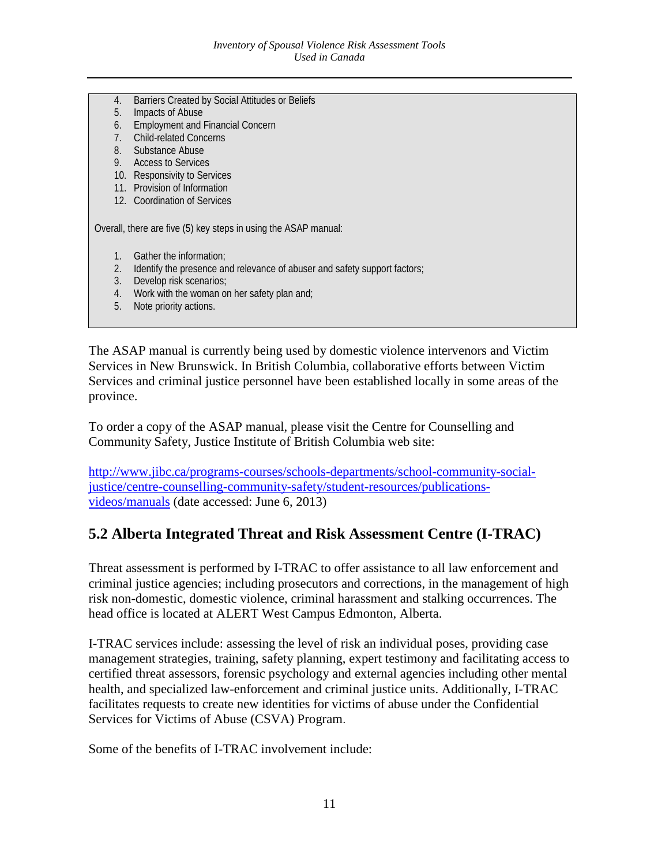- 4. Barriers Created by Social Attitudes or Beliefs
- 5. Impacts of Abuse
- 6. Employment and Financial Concern
- 7. Child-related Concerns
- 8. Substance Abuse
- 9. Access to Services
- 10. Responsivity to Services
- 11. Provision of Information
- 12. Coordination of Services

Overall, there are five (5) key steps in using the ASAP manual:

- 1. Gather the information;
- 2. Identify the presence and relevance of abuser and safety support factors;
- 3. Develop risk scenarios;
- 4. Work with the woman on her safety plan and;
- 5. Note priority actions.

The ASAP manual is currently being used by domestic violence intervenors and Victim Services in New Brunswick. In British Columbia, collaborative efforts between Victim Services and criminal justice personnel have been established locally in some areas of the province.

To order a copy of the ASAP manual, please visit the Centre for Counselling and Community Safety, Justice Institute of British Columbia web site:

[http://www.jibc.ca/programs-courses/schools-departments/school-community-social](http://www.jibc.ca/programs-courses/schools-departments/school-community-social-justice/centre-counselling-community-safety/student-resources/publications-videos/manuals)[justice/centre-counselling-community-safety/student-resources/publications](http://www.jibc.ca/programs-courses/schools-departments/school-community-social-justice/centre-counselling-community-safety/student-resources/publications-videos/manuals)[videos/manuals](http://www.jibc.ca/programs-courses/schools-departments/school-community-social-justice/centre-counselling-community-safety/student-resources/publications-videos/manuals) (date accessed: June 6, 2013)

# <span id="page-11-0"></span>**5.2 Alberta Integrated Threat and Risk Assessment Centre (I-TRAC)**

Threat assessment is performed by I-TRAC to offer assistance to all law enforcement and criminal justice agencies; including prosecutors and corrections, in the management of high risk non-domestic, domestic violence, criminal harassment and stalking occurrences. The head office is located at ALERT West Campus Edmonton, Alberta.

I-TRAC services include: assessing the level of risk an individual poses, providing case management strategies, training, safety planning, expert testimony and facilitating access to certified threat assessors, forensic psychology and external agencies including other mental health, and specialized law-enforcement and criminal justice units. Additionally, I-TRAC facilitates requests to create new identities for victims of abuse under the Confidential Services for Victims of Abuse (CSVA) Program.

Some of the benefits of I-TRAC involvement include: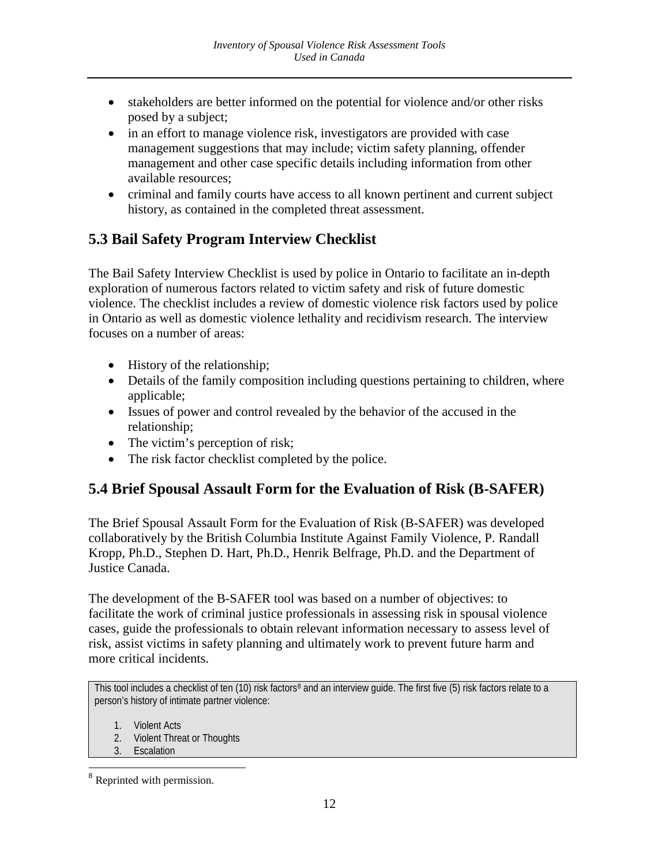- stakeholders are better informed on the potential for violence and/or other risks posed by a subject;
- in an effort to manage violence risk, investigators are provided with case management suggestions that may include; victim safety planning, offender management and other case specific details including information from other available resources;
- criminal and family courts have access to all known pertinent and current subject history, as contained in the completed threat assessment.

# <span id="page-12-0"></span>**5.3 Bail Safety Program Interview Checklist**

The Bail Safety Interview Checklist is used by police in Ontario to facilitate an in-depth exploration of numerous factors related to victim safety and risk of future domestic violence. The checklist includes a review of domestic violence risk factors used by police in Ontario as well as domestic violence lethality and recidivism research. The interview focuses on a number of areas:

- History of the relationship;
- Details of the family composition including questions pertaining to children, where applicable;
- Issues of power and control revealed by the behavior of the accused in the relationship;
- The victim's perception of risk;
- The risk factor checklist completed by the police.

# <span id="page-12-1"></span>**5.4 Brief Spousal Assault Form for the Evaluation of Risk (B-SAFER)**

The Brief Spousal Assault Form for the Evaluation of Risk (B-SAFER) was developed collaboratively by the British Columbia Institute Against Family Violence, P. Randall Kropp, Ph.D., Stephen D. Hart, Ph.D., Henrik Belfrage, Ph.D. and the Department of Justice Canada.

The development of the B-SAFER tool was based on a number of objectives: to facilitate the work of criminal justice professionals in assessing risk in spousal violence cases, guide the professionals to obtain relevant information necessary to assess level of risk, assist victims in safety planning and ultimately work to prevent future harm and more critical incidents.

This tool includes a checklist of ten (10) risk factors<sup>[8](#page-10-2)</sup> and an interview quide. The first five (5) risk factors relate to a person's history of intimate partner violence:

- 1. Violent Acts
- 2. Violent Threat or Thoughts
- 3. Escalation

<span id="page-12-2"></span> <sup>8</sup> Reprinted with permission.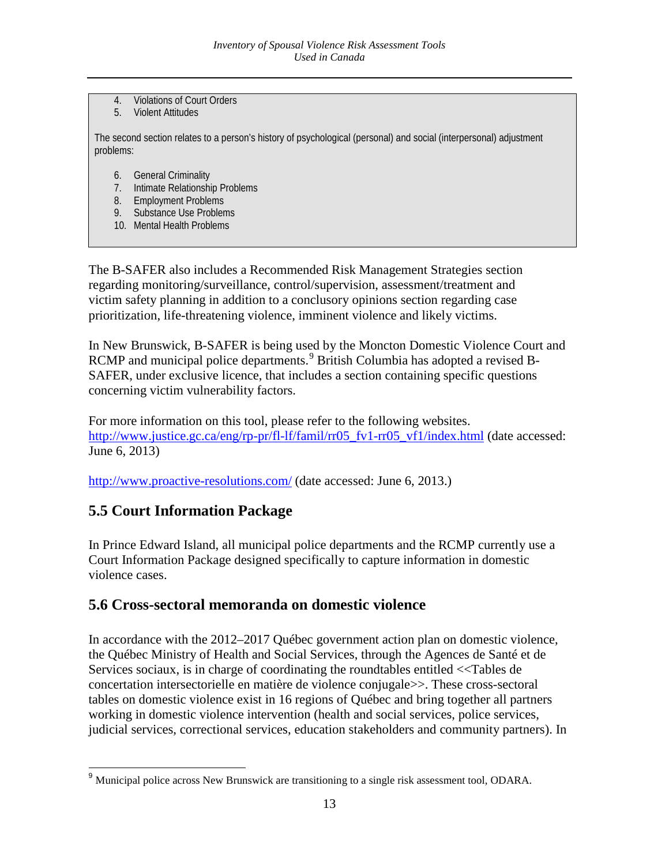- 4. Violations of Court Orders
- 5. Violent Attitudes

The second section relates to a person's history of psychological (personal) and social (interpersonal) adjustment problems:

- 6. General Criminality
- 7. Intimate Relationship Problems
- 8. Employment Problems
- 9. Substance Use Problems
- 10. Mental Health Problems

The B-SAFER also includes a Recommended Risk Management Strategies section regarding monitoring/surveillance, control/supervision, assessment/treatment and victim safety planning in addition to a conclusory opinions section regarding case prioritization, life-threatening violence, imminent violence and likely victims.

In New Brunswick, B-SAFER is being used by the Moncton Domestic Violence Court and RCMP and municipal police departments.<sup>[9](#page-12-2)</sup> British Columbia has adopted a revised B-SAFER, under exclusive licence, that includes a section containing specific questions concerning victim vulnerability factors.

For more information on this tool, please refer to the following websites. [http://www.justice.gc.ca/eng/rp-pr/fl-lf/famil/rr05\\_fv1-rr05\\_vf1/index.html](http://www.justice.gc.ca/eng/rp-pr/fl-lf/famil/rr05_fv1-rr05_vf1/index.html) (date accessed: June 6, 2013)

<span id="page-13-0"></span><http://www.proactive-resolutions.com/> (date accessed: June 6, 2013.)

## **5.5 Court Information Package**

In Prince Edward Island, all municipal police departments and the RCMP currently use a Court Information Package designed specifically to capture information in domestic violence cases.

## <span id="page-13-1"></span>**5.6 Cross-sectoral memoranda on domestic violence**

<span id="page-13-2"></span>In accordance with the 2012–2017 Québec government action plan on domestic violence, the Québec Ministry of Health and Social Services, through the Agences de Santé et de Services sociaux, is in charge of coordinating the roundtables entitled <<Tables de concertation intersectorielle en matière de violence conjugale>>. These cross-sectoral tables on domestic violence exist in 16 regions of Québec and bring together all partners working in domestic violence intervention (health and social services, police services, judicial services, correctional services, education stakeholders and community partners). In

<sup>&</sup>lt;sup>9</sup> Municipal police across New Brunswick are transitioning to a single risk assessment tool, ODARA.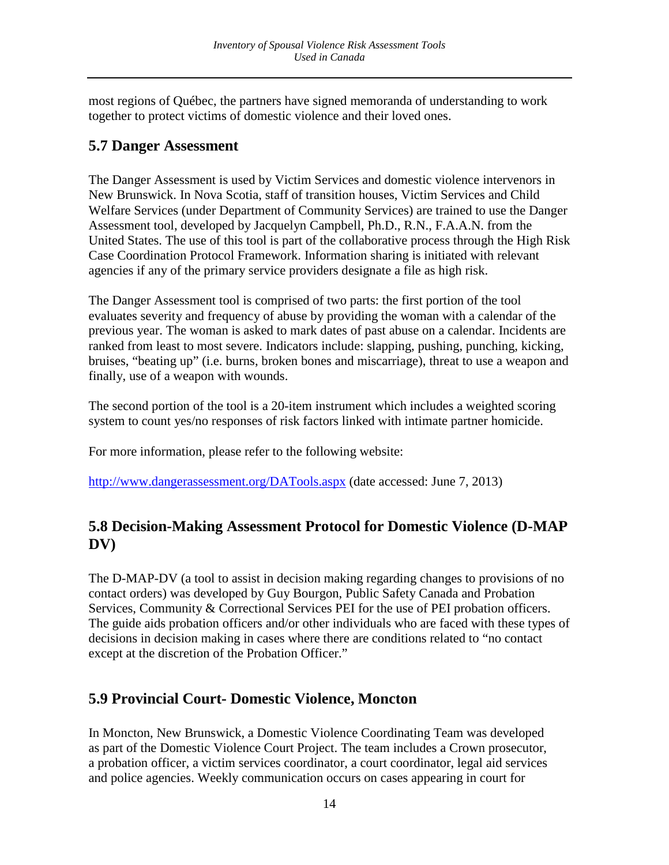most regions of Québec, the partners have signed memoranda of understanding to work together to protect victims of domestic violence and their loved ones.

### <span id="page-14-0"></span>**5.7 Danger Assessment**

The Danger Assessment is used by Victim Services and domestic violence intervenors in New Brunswick. In Nova Scotia, staff of transition houses, Victim Services and Child Welfare Services (under Department of Community Services) are trained to use the Danger Assessment tool, developed by Jacquelyn Campbell, Ph.D., R.N., F.A.A.N. from the United States. The use of this tool is part of the collaborative process through the High Risk Case Coordination Protocol Framework. Information sharing is initiated with relevant agencies if any of the primary service providers designate a file as high risk.

The Danger Assessment tool is comprised of two parts: the first portion of the tool evaluates severity and frequency of abuse by providing the woman with a calendar of the previous year. The woman is asked to mark dates of past abuse on a calendar. Incidents are ranked from least to most severe. Indicators include: slapping, pushing, punching, kicking, bruises, "beating up" (i.e. burns, broken bones and miscarriage), threat to use a weapon and finally, use of a weapon with wounds.

The second portion of the tool is a 20-item instrument which includes a weighted scoring system to count yes/no responses of risk factors linked with intimate partner homicide.

For more information, please refer to the following website:

<http://www.dangerassessment.org/DATools.aspx> (date accessed: June 7, 2013)

# <span id="page-14-1"></span>**5.8 Decision-Making Assessment Protocol for Domestic Violence (D-MAP DV)**

The D-MAP-DV (a tool to assist in decision making regarding changes to provisions of no contact orders) was developed by Guy Bourgon, Public Safety Canada and Probation Services, Community & Correctional Services PEI for the use of PEI probation officers. The guide aids probation officers and/or other individuals who are faced with these types of decisions in decision making in cases where there are conditions related to "no contact except at the discretion of the Probation Officer."

# <span id="page-14-2"></span>**5.9 Provincial Court- Domestic Violence, Moncton**

In Moncton, New Brunswick, a Domestic Violence Coordinating Team was developed as part of the Domestic Violence Court Project. The team includes a Crown prosecutor, a probation officer, a victim services coordinator, a court coordinator, legal aid services and police agencies. Weekly communication occurs on cases appearing in court for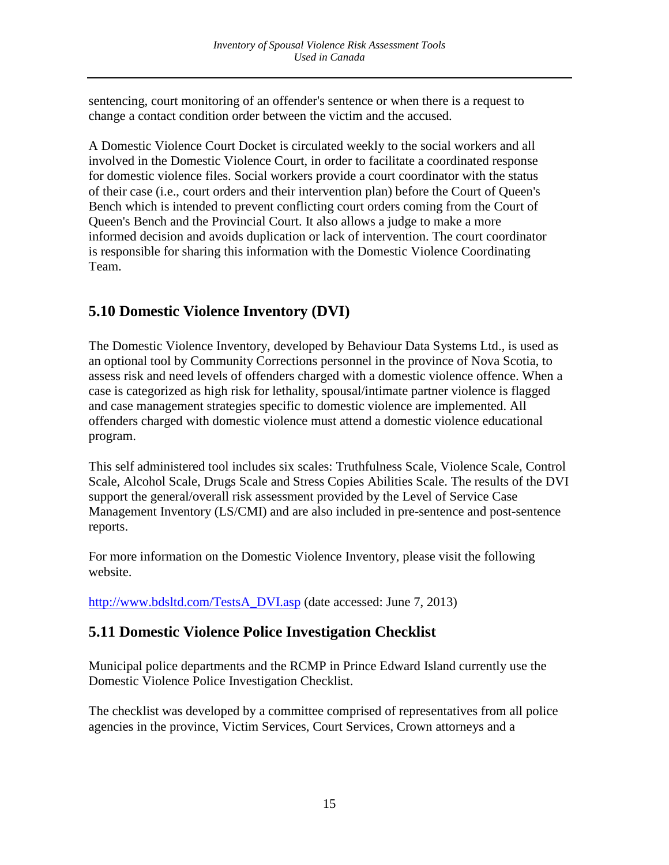sentencing, court monitoring of an offender's sentence or when there is a request to change a contact condition order between the victim and the accused.

A Domestic Violence Court Docket is circulated weekly to the social workers and all involved in the Domestic Violence Court, in order to facilitate a coordinated response for domestic violence files. Social workers provide a court coordinator with the status of their case (i.e., court orders and their intervention plan) before the Court of Queen's Bench which is intended to prevent conflicting court orders coming from the Court of Queen's Bench and the Provincial Court. It also allows a judge to make a more informed decision and avoids duplication or lack of intervention. The court coordinator is responsible for sharing this information with the Domestic Violence Coordinating Team.

# <span id="page-15-0"></span>**5.10 Domestic Violence Inventory (DVI)**

The Domestic Violence Inventory, developed by Behaviour Data Systems Ltd., is used as an optional tool by Community Corrections personnel in the province of Nova Scotia, to assess risk and need levels of offenders charged with a domestic violence offence. When a case is categorized as high risk for lethality, spousal/intimate partner violence is flagged and case management strategies specific to domestic violence are implemented. All offenders charged with domestic violence must attend a domestic violence educational program.

This self administered tool includes six scales: Truthfulness Scale, Violence Scale, Control Scale, Alcohol Scale, Drugs Scale and Stress Copies Abilities Scale. The results of the DVI support the general/overall risk assessment provided by the Level of Service Case Management Inventory (LS/CMI) and are also included in pre-sentence and post-sentence reports.

For more information on the Domestic Violence Inventory, please visit the following website.

<span id="page-15-1"></span>[http://www.bdsltd.com/TestsA\\_DVI.asp](http://www.bdsltd.com/TestsA_DVI.asp) (date accessed: June 7, 2013)

## **5.11 Domestic Violence Police Investigation Checklist**

Municipal police departments and the RCMP in Prince Edward Island currently use the Domestic Violence Police Investigation Checklist.

The checklist was developed by a committee comprised of representatives from all police agencies in the province, Victim Services, Court Services, Crown attorneys and a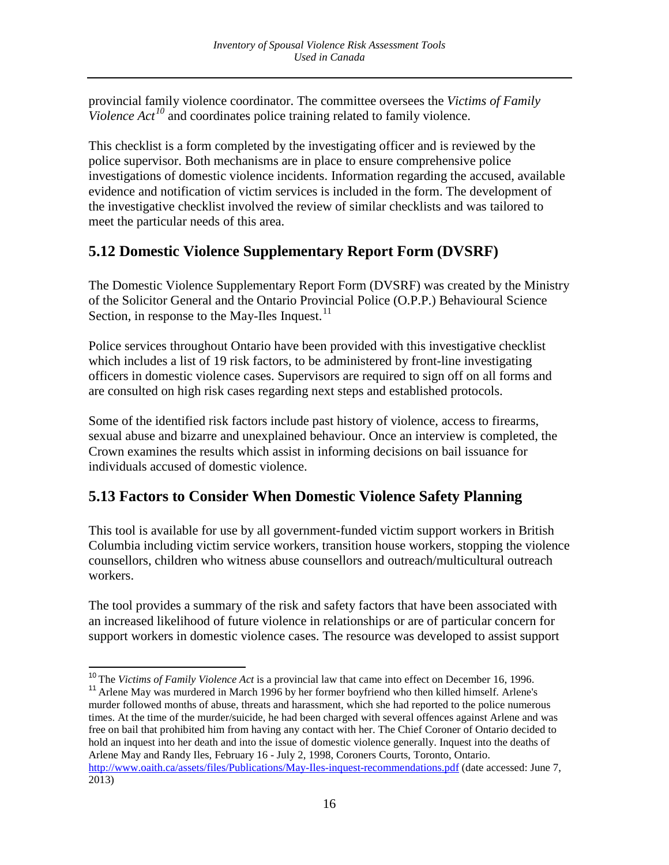provincial family violence coordinator. The committee oversees the *Victims of Family Violence Act<sup>[10](#page-13-2)</sup>* and coordinates police training related to family violence.

This checklist is a form completed by the investigating officer and is reviewed by the police supervisor. Both mechanisms are in place to ensure comprehensive police investigations of domestic violence incidents. Information regarding the accused, available evidence and notification of victim services is included in the form. The development of the investigative checklist involved the review of similar checklists and was tailored to meet the particular needs of this area.

# <span id="page-16-0"></span>**5.12 Domestic Violence Supplementary Report Form (DVSRF)**

The Domestic Violence Supplementary Report Form (DVSRF) was created by the Ministry of the Solicitor General and the Ontario Provincial Police (O.P.P.) Behavioural Science Section, in response to the May-Iles Inquest.<sup>[11](#page-16-2)</sup>

Police services throughout Ontario have been provided with this investigative checklist which includes a list of 19 risk factors, to be administered by front-line investigating officers in domestic violence cases. Supervisors are required to sign off on all forms and are consulted on high risk cases regarding next steps and established protocols.

Some of the identified risk factors include past history of violence, access to firearms, sexual abuse and bizarre and unexplained behaviour. Once an interview is completed, the Crown examines the results which assist in informing decisions on bail issuance for individuals accused of domestic violence.

# <span id="page-16-1"></span>**5.13 Factors to Consider When Domestic Violence Safety Planning**

This tool is available for use by all government-funded victim support workers in British Columbia including victim service workers, transition house workers, stopping the violence counsellors, children who witness abuse counsellors and outreach/multicultural outreach workers.

The tool provides a summary of the risk and safety factors that have been associated with an increased likelihood of future violence in relationships or are of particular concern for support workers in domestic violence cases. The resource was developed to assist support

<sup>&</sup>lt;sup>10</sup> The *Victims of Family Violence Act* is a provincial law that came into effect on December 16, 1996.<br><sup>11</sup> Arlene May was murdered in March 1996 by her former boyfriend who then killed himself. Arlene's

<span id="page-16-3"></span><span id="page-16-2"></span>murder followed months of abuse, threats and harassment, which she had reported to the police numerous times. At the time of the murder/suicide, he had been charged with several offences against Arlene and was free on bail that prohibited him from having any contact with her. The Chief Coroner of Ontario decided to hold an inquest into her death and into the issue of domestic violence generally. Inquest into the deaths of Arlene May and Randy Iles, February 16 - July 2, 1998, Coroners Courts, Toronto, Ontario. <http://www.oaith.ca/assets/files/Publications/May-Iles-inquest-recommendations.pdf> (date accessed: June 7, 2013)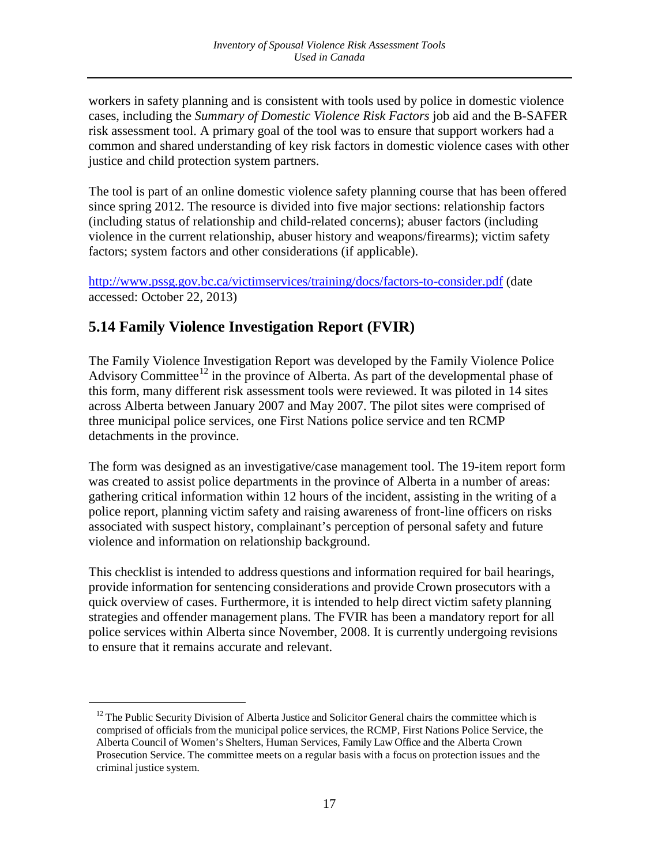workers in safety planning and is consistent with tools used by police in domestic violence cases, including the *Summary of Domestic Violence Risk Factors* job aid and the B-SAFER risk assessment tool. A primary goal of the tool was to ensure that support workers had a common and shared understanding of key risk factors in domestic violence cases with other justice and child protection system partners.

The tool is part of an online domestic violence safety planning course that has been offered since spring 2012. The resource is divided into five major sections: relationship factors (including status of relationship and child-related concerns); abuser factors (including violence in the current relationship, abuser history and weapons/firearms); victim safety factors; system factors and other considerations (if applicable).

<http://www.pssg.gov.bc.ca/victimservices/training/docs/factors-to-consider.pdf> (date accessed: October 22, 2013)

# <span id="page-17-0"></span>**5.14 Family Violence Investigation Report (FVIR)**

 $\overline{a}$ 

The Family Violence Investigation Report was developed by the Family Violence Police Advisory Committee<sup>[12](#page-16-3)</sup> in the province of Alberta. As part of the developmental phase of this form, many different risk assessment tools were reviewed. It was piloted in 14 sites across Alberta between January 2007 and May 2007. The pilot sites were comprised of three municipal police services, one First Nations police service and ten RCMP detachments in the province.

The form was designed as an investigative/case management tool. The 19-item report form was created to assist police departments in the province of Alberta in a number of areas: gathering critical information within 12 hours of the incident, assisting in the writing of a police report, planning victim safety and raising awareness of front-line officers on risks associated with suspect history, complainant's perception of personal safety and future violence and information on relationship background.

This checklist is intended to address questions and information required for bail hearings, provide information for sentencing considerations and provide Crown prosecutors with a quick overview of cases. Furthermore, it is intended to help direct victim safety planning strategies and offender management plans. The FVIR has been a mandatory report for all police services within Alberta since November, 2008. It is currently undergoing revisions to ensure that it remains accurate and relevant.

<span id="page-17-1"></span> $12$  The Public Security Division of Alberta Justice and Solicitor General chairs the committee which is comprised of officials from the municipal police services, the RCMP, First Nations Police Service, the Alberta Council of Women's Shelters, Human Services, Family Law Office and the Alberta Crown Prosecution Service. The committee meets on a regular basis with a focus on protection issues and the criminal justice system.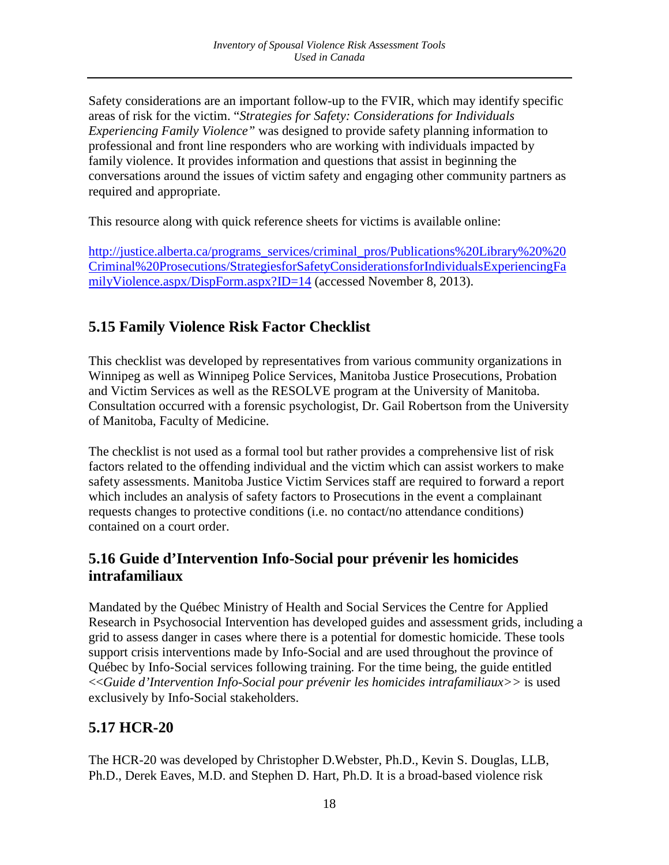Safety considerations are an important follow-up to the FVIR, which may identify specific areas of risk for the victim. "*Strategies for Safety: Considerations for Individuals Experiencing Family Violence"* was designed to provide safety planning information to professional and front line responders who are working with individuals impacted by family violence. It provides information and questions that assist in beginning the conversations around the issues of victim safety and engaging other community partners as required and appropriate.

This resource along with quick reference sheets for victims is available online:

[http://justice.alberta.ca/programs\\_services/criminal\\_pros/Publications%20Library%20%20](http://justice.alberta.ca/programs_services/criminal_pros/Publications%20Library%20%20Criminal%20Prosecutions/StrategiesforSafetyConsiderationsforIndividualsExperiencingFamilyViolence.aspx/DispForm.aspx?ID=14) [Criminal%20Prosecutions/StrategiesforSafetyConsiderationsforIndividualsExperiencingFa](http://justice.alberta.ca/programs_services/criminal_pros/Publications%20Library%20%20Criminal%20Prosecutions/StrategiesforSafetyConsiderationsforIndividualsExperiencingFamilyViolence.aspx/DispForm.aspx?ID=14) [milyViolence.aspx/DispForm.aspx?ID=14](http://justice.alberta.ca/programs_services/criminal_pros/Publications%20Library%20%20Criminal%20Prosecutions/StrategiesforSafetyConsiderationsforIndividualsExperiencingFamilyViolence.aspx/DispForm.aspx?ID=14) (accessed November 8, 2013).

# <span id="page-18-0"></span>**5.15 Family Violence Risk Factor Checklist**

This checklist was developed by representatives from various community organizations in Winnipeg as well as Winnipeg Police Services, Manitoba Justice Prosecutions, Probation and Victim Services as well as the RESOLVE program at the University of Manitoba. Consultation occurred with a forensic psychologist, Dr. Gail Robertson from the University of Manitoba, Faculty of Medicine.

The checklist is not used as a formal tool but rather provides a comprehensive list of risk factors related to the offending individual and the victim which can assist workers to make safety assessments. Manitoba Justice Victim Services staff are required to forward a report which includes an analysis of safety factors to Prosecutions in the event a complainant requests changes to protective conditions (i.e. no contact/no attendance conditions) contained on a court order.

## <span id="page-18-1"></span>**5.16 Guide d'Intervention Info-Social pour prévenir les homicides intrafamiliaux**

Mandated by the Québec Ministry of Health and Social Services the Centre for Applied Research in Psychosocial Intervention has developed guides and assessment grids, including a grid to assess danger in cases where there is a potential for domestic homicide. These tools support crisis interventions made by Info-Social and are used throughout the province of Québec by Info-Social services following training. For the time being, the guide entitled <<*Guide d'Intervention Info-Social pour prévenir les homicides intrafamiliaux>>* is used exclusively by Info-Social stakeholders.

# <span id="page-18-2"></span>**5.17 HCR-20**

The HCR-20 was developed by Christopher D.Webster, Ph.D., Kevin S. Douglas, LLB, Ph.D., Derek Eaves, M.D. and Stephen D. Hart, Ph.D. It is a broad-based violence risk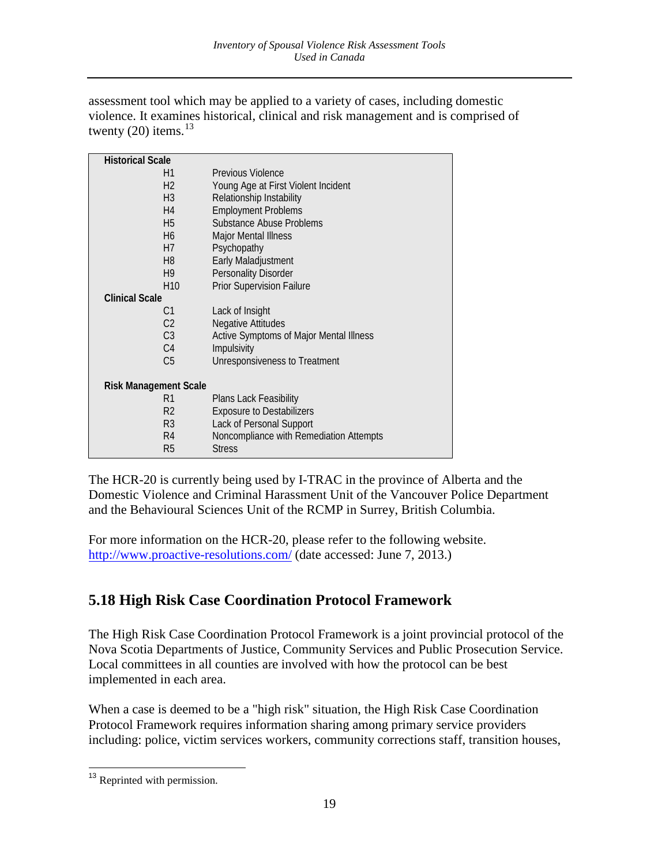assessment tool which may be applied to a variety of cases, including domestic violence. It examines historical, clinical and risk management and is comprised of twenty  $(20)$  items.<sup>[13](#page-17-1)</sup>

| <b>Historical Scale</b>      |                                         |
|------------------------------|-----------------------------------------|
| H1                           | Previous Violence                       |
| H <sub>2</sub>               | Young Age at First Violent Incident     |
| H <sub>3</sub>               | Relationship Instability                |
| H <sub>4</sub>               | <b>Employment Problems</b>              |
| H <sub>5</sub>               | Substance Abuse Problems                |
| H <sub>6</sub>               | Major Mental Illness                    |
| H7                           | Psychopathy                             |
| H <sub>8</sub>               | Early Maladjustment                     |
| H9                           | <b>Personality Disorder</b>             |
| H <sub>10</sub>              | <b>Prior Supervision Failure</b>        |
| <b>Clinical Scale</b>        |                                         |
| C1                           | Lack of Insight                         |
| C <sub>2</sub>               | <b>Negative Attitudes</b>               |
| C <sub>3</sub>               | Active Symptoms of Major Mental Illness |
| C <sub>4</sub>               | Impulsivity                             |
| C <sub>5</sub>               | Unresponsiveness to Treatment           |
|                              |                                         |
| <b>Risk Management Scale</b> |                                         |
| R1                           | Plans Lack Feasibility                  |
| R <sub>2</sub>               | <b>Exposure to Destabilizers</b>        |
| R <sub>3</sub>               | Lack of Personal Support                |
| R4                           | Noncompliance with Remediation Attempts |
| R5                           | <b>Stress</b>                           |

The HCR-20 is currently being used by I-TRAC in the province of Alberta and the Domestic Violence and Criminal Harassment Unit of the Vancouver Police Department and the Behavioural Sciences Unit of the RCMP in Surrey, British Columbia.

For more information on the HCR-20, please refer to the following website. <http://www.proactive-resolutions.com/> (date accessed: June 7, 2013.)

# <span id="page-19-0"></span>**5.18 High Risk Case Coordination Protocol Framework**

The High Risk Case Coordination Protocol Framework is a joint provincial protocol of the Nova Scotia Departments of Justice, Community Services and Public Prosecution Service. Local committees in all counties are involved with how the protocol can be best implemented in each area.

When a case is deemed to be a "high risk" situation, the High Risk Case Coordination Protocol Framework requires information sharing among primary service providers including: police, victim services workers, community corrections staff, transition houses,

<span id="page-19-1"></span><sup>&</sup>lt;sup>13</sup> Reprinted with permission.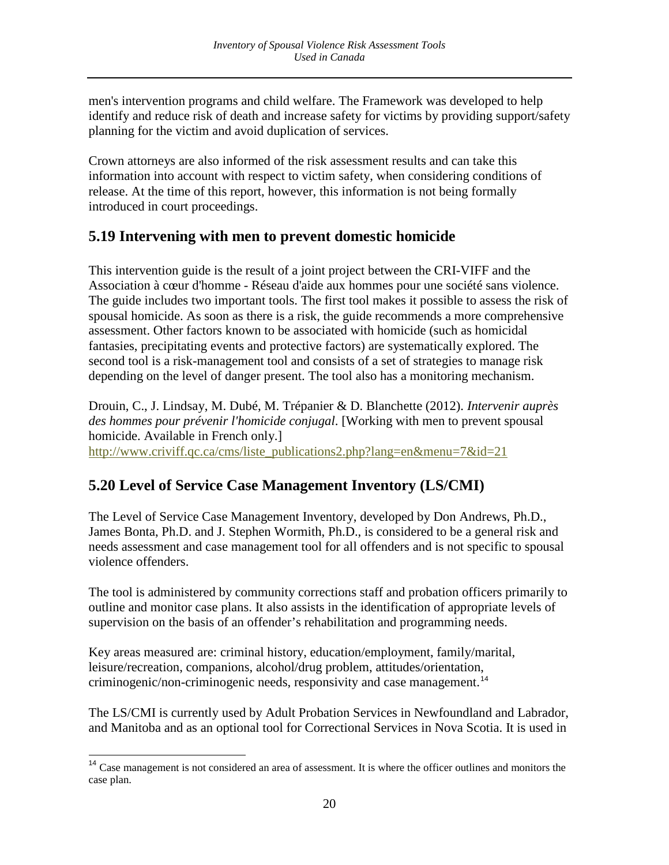men's intervention programs and child welfare. The Framework was developed to help identify and reduce risk of death and increase safety for victims by providing support/safety planning for the victim and avoid duplication of services.

Crown attorneys are also informed of the risk assessment results and can take this information into account with respect to victim safety, when considering conditions of release. At the time of this report, however, this information is not being formally introduced in court proceedings.

## <span id="page-20-0"></span>**5.19 Intervening with men to prevent domestic homicide**

This intervention guide is the result of a joint project between the CRI-VIFF and the Association à cœur d'homme - Réseau d'aide aux hommes pour une société sans violence. The guide includes two important tools. The first tool makes it possible to assess the risk of spousal homicide. As soon as there is a risk, the guide recommends a more comprehensive assessment. Other factors known to be associated with homicide (such as homicidal fantasies, precipitating events and protective factors) are systematically explored. The second tool is a risk-management tool and consists of a set of strategies to manage risk depending on the level of danger present. The tool also has a monitoring mechanism.

Drouin, C., J. Lindsay, M. Dubé, M. Trépanier & D. Blanchette (2012). *Intervenir auprès des hommes pour prévenir l'homicide conjugal*. [Working with men to prevent spousal homicide. Available in French only.] [http://www.criviff.qc.ca/cms/liste\\_publications2.php?lang=en&menu=7&id=21](http://www.criviff.qc.ca/cms/liste_publications2.php?lang=en&menu=7&id=21)

# <span id="page-20-1"></span>**5.20 Level of Service Case Management Inventory (LS/CMI)**

The Level of Service Case Management Inventory, developed by Don Andrews, Ph.D., James Bonta, Ph.D. and J. Stephen Wormith, Ph.D., is considered to be a general risk and needs assessment and case management tool for all offenders and is not specific to spousal violence offenders.

The tool is administered by community corrections staff and probation officers primarily to outline and monitor case plans. It also assists in the identification of appropriate levels of supervision on the basis of an offender's rehabilitation and programming needs.

Key areas measured are: criminal history, education/employment, family/marital, leisure/recreation, companions, alcohol/drug problem, attitudes/orientation, criminogenic/non-criminogenic needs, responsivity and case management.<sup>[14](#page-19-1)</sup>

The LS/CMI is currently used by Adult Probation Services in Newfoundland and Labrador, and Manitoba and as an optional tool for Correctional Services in Nova Scotia. It is used in

<span id="page-20-2"></span><sup>&</sup>lt;sup>14</sup> Case management is not considered an area of assessment. It is where the officer outlines and monitors the case plan.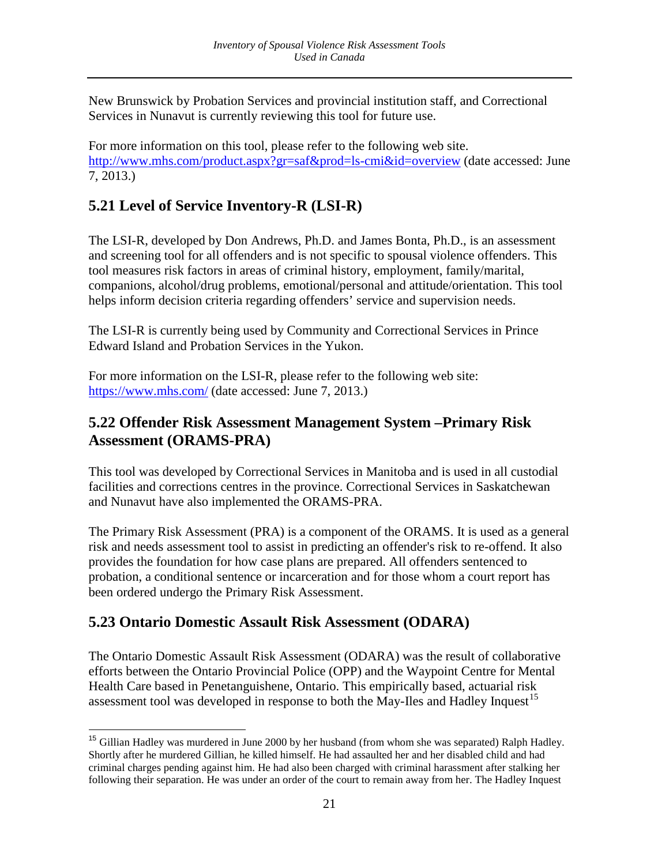New Brunswick by Probation Services and provincial institution staff, and Correctional Services in Nunavut is currently reviewing this tool for future use.

For more information on this tool, please refer to the following web site. <http://www.mhs.com/product.aspx?gr=saf&prod=ls-cmi&id=overview> (date accessed: June 7, 2013.)

# <span id="page-21-0"></span>**5.21 Level of Service Inventory-R (LSI-R)**

The LSI-R, developed by Don Andrews, Ph.D. and James Bonta, Ph.D., is an assessment and screening tool for all offenders and is not specific to spousal violence offenders. This tool measures risk factors in areas of criminal history, employment, family/marital, companions, alcohol/drug problems, emotional/personal and attitude/orientation. This tool helps inform decision criteria regarding offenders' service and supervision needs.

The LSI-R is currently being used by Community and Correctional Services in Prince Edward Island and Probation Services in the Yukon.

For more information on the LSI-R, please refer to the following web site: <https://www.mhs.com/> (date accessed: June 7, 2013.)

## <span id="page-21-1"></span>**5.22 Offender Risk Assessment Management System –Primary Risk Assessment (ORAMS-PRA)**

This tool was developed by Correctional Services in Manitoba and is used in all custodial facilities and corrections centres in the province. Correctional Services in Saskatchewan and Nunavut have also implemented the ORAMS-PRA.

The Primary Risk Assessment (PRA) is a component of the ORAMS. It is used as a general risk and needs assessment tool to assist in predicting an offender's risk to re-offend. It also provides the foundation for how case plans are prepared. All offenders sentenced to probation, a conditional sentence or incarceration and for those whom a court report has been ordered undergo the Primary Risk Assessment.

# <span id="page-21-2"></span>**5.23 Ontario Domestic Assault Risk Assessment (ODARA)**

The Ontario Domestic Assault Risk Assessment (ODARA) was the result of collaborative efforts between the Ontario Provincial Police (OPP) and the Waypoint Centre for Mental Health Care based in Penetanguishene, Ontario. This empirically based, actuarial risk assessment tool was developed in response to both the May-Iles and Hadley Inquest<sup>[15](#page-20-2)</sup>

<span id="page-21-3"></span> <sup>15</sup> Gillian Hadley was murdered in June 2000 by her husband (from whom she was separated) Ralph Hadley. Shortly after he murdered Gillian, he killed himself. He had assaulted her and her disabled child and had criminal charges pending against him. He had also been charged with criminal harassment after stalking her following their separation. He was under an order of the court to remain away from her. The Hadley Inquest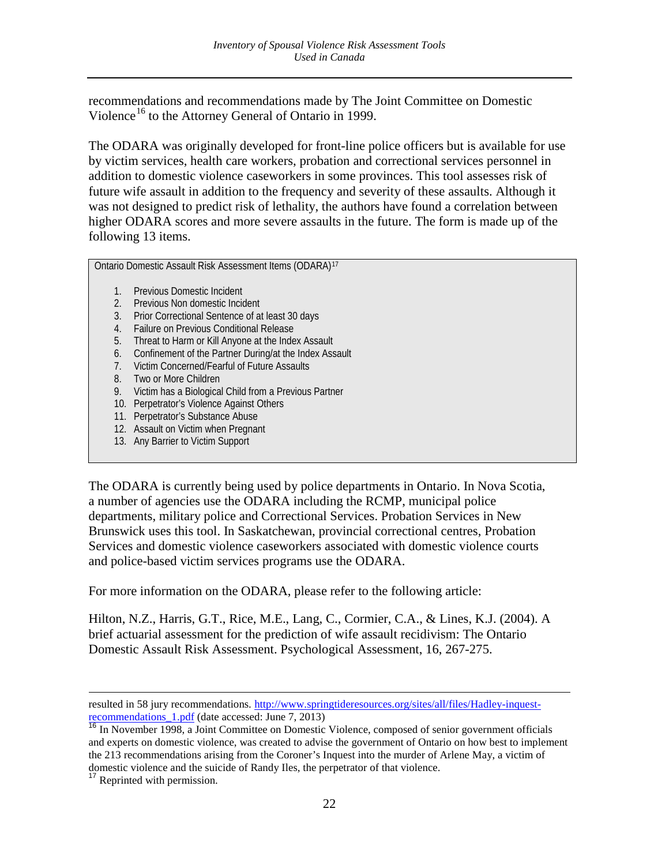recommendations and recommendations made by The Joint Committee on Domestic Violence<sup>[16](#page-21-3)</sup> to the Attorney General of Ontario in 1999.

The ODARA was originally developed for front-line police officers but is available for use by victim services, health care workers, probation and correctional services personnel in addition to domestic violence caseworkers in some provinces. This tool assesses risk of future wife assault in addition to the frequency and severity of these assaults. Although it was not designed to predict risk of lethality, the authors have found a correlation between higher ODARA scores and more severe assaults in the future. The form is made up of the following 13 items.

Ontario Domestic Assault Risk Assessment Items (ODARA)[17](#page-22-0)

- 1. Previous Domestic Incident
- 2. Previous Non domestic Incident
- 3. Prior Correctional Sentence of at least 30 days
- 4. Failure on Previous Conditional Release
- 5. Threat to Harm or Kill Anyone at the Index Assault
- 6. Confinement of the Partner During/at the Index Assault
- 7. Victim Concerned/Fearful of Future Assaults
- 8. Two or More Children
- 9. Victim has a Biological Child from a Previous Partner
- 10. Perpetrator's Violence Against Others
- 11. Perpetrator's Substance Abuse
- 12. Assault on Victim when Pregnant
- 13. Any Barrier to Victim Support

The ODARA is currently being used by police departments in Ontario. In Nova Scotia, a number of agencies use the ODARA including the RCMP, municipal police departments, military police and Correctional Services. Probation Services in New Brunswick uses this tool. In Saskatchewan, provincial correctional centres, Probation Services and domestic violence caseworkers associated with domestic violence courts and police-based victim services programs use the ODARA.

For more information on the ODARA, please refer to the following article:

Hilton, N.Z., Harris, G.T., Rice, M.E., Lang, C., Cormier, C.A., & Lines, K.J. (2004). A brief actuarial assessment for the prediction of wife assault recidivism: The Ontario Domestic Assault Risk Assessment. Psychological Assessment, 16, 267-275.

 $\overline{a}$ resulted in 58 jury recommendations. [http://www.springtideresources.org/sites/all/files/Hadley-inquest](http://www.springtideresources.org/sites/all/files/Hadley-inquest-recommendations_1.pdf)[recommendations\\_1.pdf](http://www.springtideresources.org/sites/all/files/Hadley-inquest-recommendations_1.pdf) (date accessed: June 7, 2013)

<sup>&</sup>lt;sup>16</sup> In November 1998, a Joint Committee on Domestic Violence, composed of senior government officials and experts on domestic violence, was created to advise the government of Ontario on how best to implement the 213 recommendations arising from the Coroner's Inquest into the murder of Arlene May, a victim of domestic violence and the suicide of Randy Iles, the perpetrator of that violence. <sup>17</sup> Reprinted with permission.

<span id="page-22-0"></span>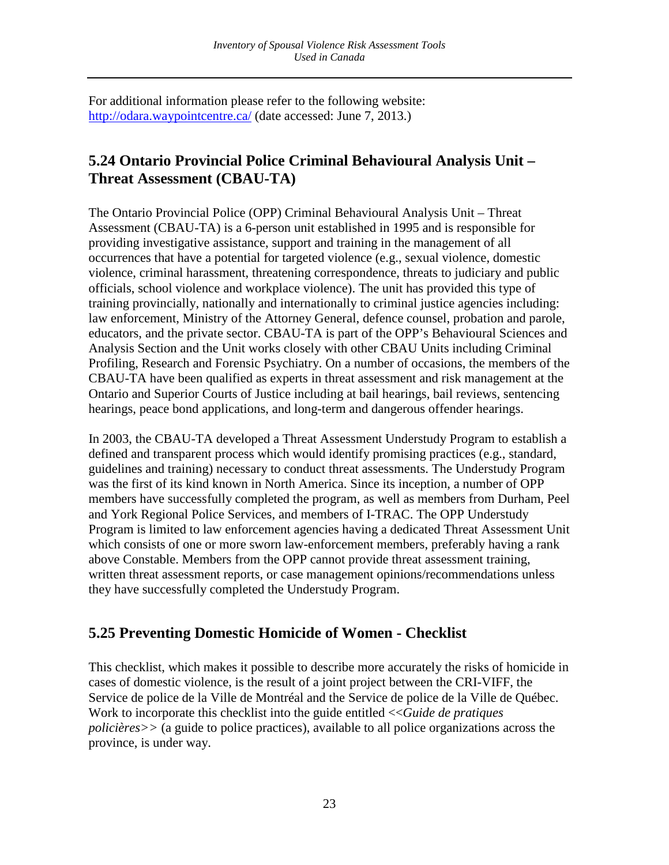For additional information please refer to the following website: <http://odara.waypointcentre.ca/> (date accessed: June 7, 2013.)

# <span id="page-23-0"></span>**5.24 Ontario Provincial Police Criminal Behavioural Analysis Unit – Threat Assessment (CBAU-TA)**

The Ontario Provincial Police (OPP) Criminal Behavioural Analysis Unit – Threat Assessment (CBAU-TA) is a 6-person unit established in 1995 and is responsible for providing investigative assistance, support and training in the management of all occurrences that have a potential for targeted violence (e.g., sexual violence, domestic violence, criminal harassment, threatening correspondence, threats to judiciary and public officials, school violence and workplace violence). The unit has provided this type of training provincially, nationally and internationally to criminal justice agencies including: law enforcement, Ministry of the Attorney General, defence counsel, probation and parole, educators, and the private sector. CBAU-TA is part of the OPP's Behavioural Sciences and Analysis Section and the Unit works closely with other CBAU Units including Criminal Profiling, Research and Forensic Psychiatry. On a number of occasions, the members of the CBAU-TA have been qualified as experts in threat assessment and risk management at the Ontario and Superior Courts of Justice including at bail hearings, bail reviews, sentencing hearings, peace bond applications, and long-term and dangerous offender hearings.

In 2003, the CBAU-TA developed a Threat Assessment Understudy Program to establish a defined and transparent process which would identify promising practices (e.g., standard, guidelines and training) necessary to conduct threat assessments. The Understudy Program was the first of its kind known in North America. Since its inception, a number of OPP members have successfully completed the program, as well as members from Durham, Peel and York Regional Police Services, and members of I-TRAC. The OPP Understudy Program is limited to law enforcement agencies having a dedicated Threat Assessment Unit which consists of one or more sworn law-enforcement members, preferably having a rank above Constable. Members from the OPP cannot provide threat assessment training, written threat assessment reports, or case management opinions/recommendations unless they have successfully completed the Understudy Program.

# <span id="page-23-1"></span>**5.25 Preventing Domestic Homicide of Women - Checklist**

This checklist, which makes it possible to describe more accurately the risks of homicide in cases of domestic violence, is the result of a joint project between the CRI-VIFF, the Service de police de la Ville de Montréal and the Service de police de la Ville de Québec. Work to incorporate this checklist into the guide entitled <<*Guide de pratiques policières>>* (a guide to police practices), available to all police organizations across the province, is under way.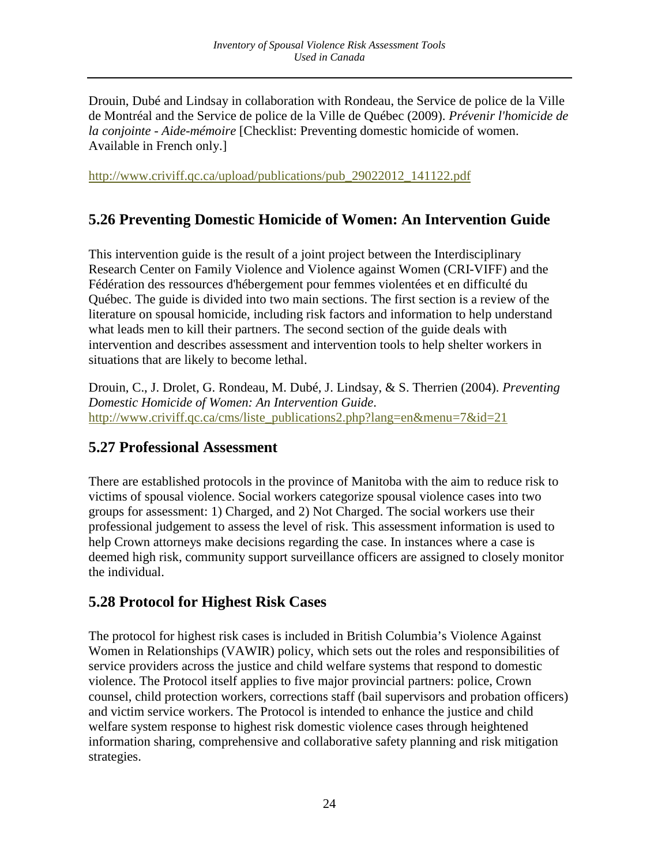Drouin, Dubé and Lindsay in collaboration with Rondeau, the Service de police de la Ville de Montréal and the Service de police de la Ville de Québec (2009). *Prévenir l'homicide de la conjointe - Aide-mémoire* [Checklist: Preventing domestic homicide of women. Available in French only.]

[http://www.criviff.qc.ca/upload/publications/pub\\_29022012\\_141122.pdf](http://www.criviff.qc.ca/upload/publications/pub_29022012_141122.pdf)

## <span id="page-24-0"></span>**5.26 Preventing Domestic Homicide of Women: An Intervention Guide**

This intervention guide is the result of a joint project between the Interdisciplinary Research Center on Family Violence and Violence against Women (CRI-VIFF) and the Fédération des ressources d'hébergement pour femmes violentées et en difficulté du Québec. The guide is divided into two main sections. The first section is a review of the literature on spousal homicide, including risk factors and information to help understand what leads men to kill their partners. The second section of the guide deals with intervention and describes assessment and intervention tools to help shelter workers in situations that are likely to become lethal.

Drouin, C., J. Drolet, G. Rondeau, M. Dubé, J. Lindsay, & S. Therrien (2004). *Preventing Domestic Homicide of Women: An Intervention Guide*. [http://www.criviff.qc.ca/cms/liste\\_publications2.php?lang=en&menu=7&id=21](http://www.criviff.qc.ca/cms/liste_publications2.php?lang=en&menu=7&id=21)

### <span id="page-24-1"></span>**5.27 Professional Assessment**

There are established protocols in the province of Manitoba with the aim to reduce risk to victims of spousal violence. Social workers categorize spousal violence cases into two groups for assessment: 1) Charged, and 2) Not Charged. The social workers use their professional judgement to assess the level of risk. This assessment information is used to help Crown attorneys make decisions regarding the case. In instances where a case is deemed high risk, community support surveillance officers are assigned to closely monitor the individual.

## <span id="page-24-2"></span>**5.28 Protocol for Highest Risk Cases**

The protocol for highest risk cases is included in British Columbia's Violence Against Women in Relationships (VAWIR) policy, which sets out the roles and responsibilities of service providers across the justice and child welfare systems that respond to domestic violence. The Protocol itself applies to five major provincial partners: police, Crown counsel, child protection workers, corrections staff (bail supervisors and probation officers) and victim service workers. The Protocol is intended to enhance the justice and child welfare system response to highest risk domestic violence cases through heightened information sharing, comprehensive and collaborative safety planning and risk mitigation strategies.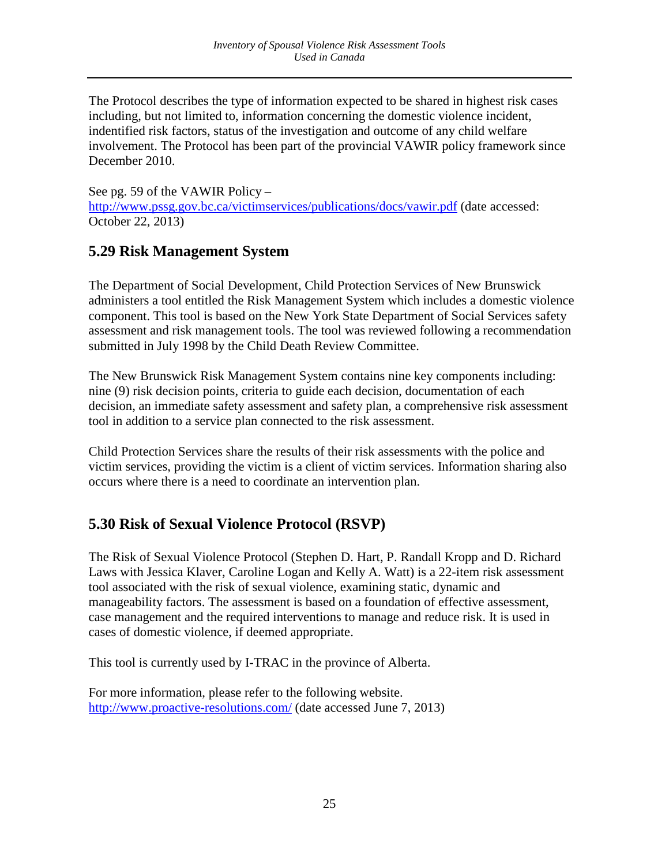The Protocol describes the type of information expected to be shared in highest risk cases including, but not limited to, information concerning the domestic violence incident, indentified risk factors, status of the investigation and outcome of any child welfare involvement. The Protocol has been part of the provincial VAWIR policy framework since December 2010.

See pg. 59 of the VAWIR Policy – <http://www.pssg.gov.bc.ca/victimservices/publications/docs/vawir.pdf> (date accessed: October 22, 2013)

## <span id="page-25-0"></span>**5.29 Risk Management System**

The Department of Social Development, Child Protection Services of New Brunswick administers a tool entitled the Risk Management System which includes a domestic violence component. This tool is based on the New York State Department of Social Services safety assessment and risk management tools. The tool was reviewed following a recommendation submitted in July 1998 by the Child Death Review Committee.

The New Brunswick Risk Management System contains nine key components including: nine (9) risk decision points, criteria to guide each decision, documentation of each decision, an immediate safety assessment and safety plan, a comprehensive risk assessment tool in addition to a service plan connected to the risk assessment.

Child Protection Services share the results of their risk assessments with the police and victim services, providing the victim is a client of victim services. Information sharing also occurs where there is a need to coordinate an intervention plan.

# <span id="page-25-1"></span>**5.30 Risk of Sexual Violence Protocol (RSVP)**

The Risk of Sexual Violence Protocol (Stephen D. Hart, P. Randall Kropp and D. Richard Laws with Jessica Klaver, Caroline Logan and Kelly A. Watt) is a 22-item risk assessment tool associated with the risk of sexual violence, examining static, dynamic and manageability factors. The assessment is based on a foundation of effective assessment, case management and the required interventions to manage and reduce risk. It is used in cases of domestic violence, if deemed appropriate.

This tool is currently used by I-TRAC in the province of Alberta.

<span id="page-25-2"></span>For more information, please refer to the following website. <http://www.proactive-resolutions.com/> (date accessed June 7, 2013)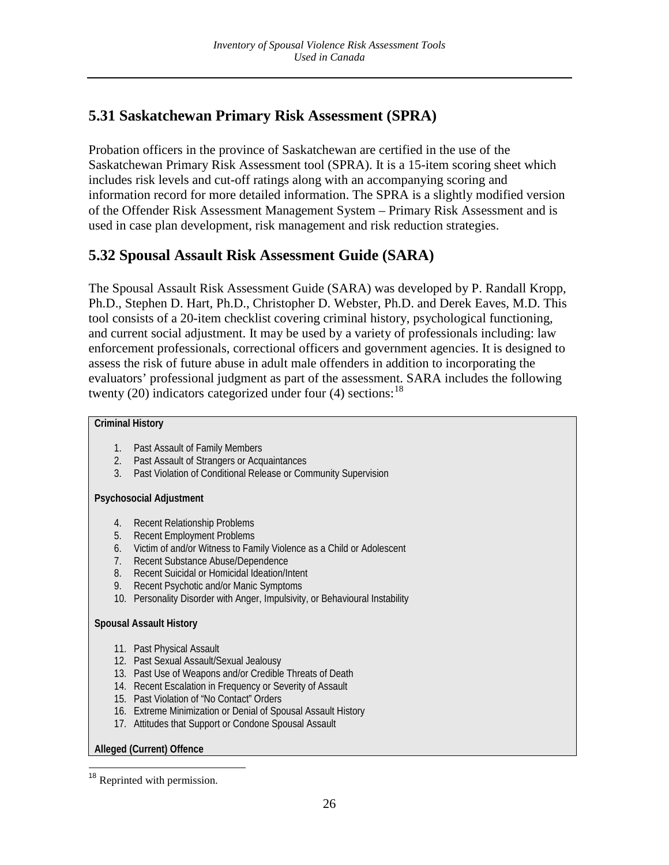# **5.31 Saskatchewan Primary Risk Assessment (SPRA)**

Probation officers in the province of Saskatchewan are certified in the use of the Saskatchewan Primary Risk Assessment tool (SPRA). It is a 15-item scoring sheet which includes risk levels and cut-off ratings along with an accompanying scoring and information record for more detailed information. The SPRA is a slightly modified version of the Offender Risk Assessment Management System – Primary Risk Assessment and is used in case plan development, risk management and risk reduction strategies.

## <span id="page-26-0"></span>**5.32 Spousal Assault Risk Assessment Guide (SARA)**

The Spousal Assault Risk Assessment Guide (SARA) was developed by P. Randall Kropp, Ph.D., Stephen D. Hart, Ph.D., Christopher D. Webster, Ph.D. and Derek Eaves, M.D. This tool consists of a 20-item checklist covering criminal history, psychological functioning, and current social adjustment. It may be used by a variety of professionals including: law enforcement professionals, correctional officers and government agencies. It is designed to assess the risk of future abuse in adult male offenders in addition to incorporating the evaluators' professional judgment as part of the assessment. SARA includes the following twenty  $(20)$  indicators categorized under four  $(4)$  sections:<sup>[18](#page-22-0)</sup>

### **Criminal History**

- 1. Past Assault of Family Members
- 2. Past Assault of Strangers or Acquaintances
- 3. Past Violation of Conditional Release or Community Supervision

#### **Psychosocial Adjustment**

- 4. Recent Relationship Problems
- 5. Recent Employment Problems
- 6. Victim of and/or Witness to Family Violence as a Child or Adolescent
- 7. Recent Substance Abuse/Dependence
- 8. Recent Suicidal or Homicidal Ideation/Intent
- 9. Recent Psychotic and/or Manic Symptoms
- 10. Personality Disorder with Anger, Impulsivity, or Behavioural Instability

#### **Spousal Assault History**

- 11. Past Physical Assault
- 12. Past Sexual Assault/Sexual Jealousy
- 13. Past Use of Weapons and/or Credible Threats of Death
- 14. Recent Escalation in Frequency or Severity of Assault
- 15. Past Violation of "No Contact" Orders
- 16. Extreme Minimization or Denial of Spousal Assault History
- 17. Attitudes that Support or Condone Spousal Assault

### **Alleged (Current) Offence**

<span id="page-26-1"></span>Reprinted with permission.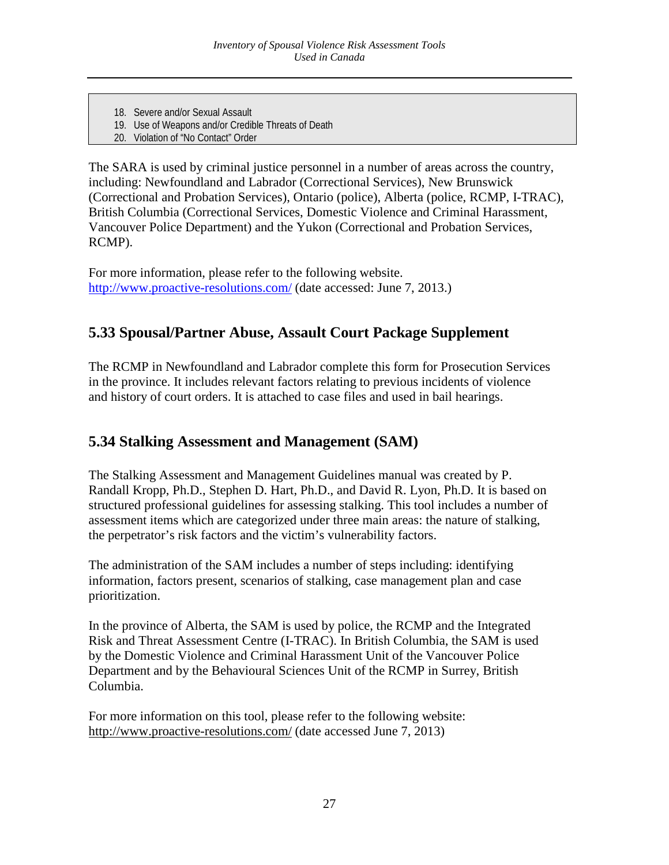- 18. Severe and/or Sexual Assault
- 19. Use of Weapons and/or Credible Threats of Death
- 20. Violation of "No Contact" Order

The SARA is used by criminal justice personnel in a number of areas across the country, including: Newfoundland and Labrador (Correctional Services), New Brunswick (Correctional and Probation Services), Ontario (police), Alberta (police, RCMP, I-TRAC), British Columbia (Correctional Services, Domestic Violence and Criminal Harassment, Vancouver Police Department) and the Yukon (Correctional and Probation Services, RCMP).

For more information, please refer to the following website. <http://www.proactive-resolutions.com/> (date accessed: June 7, 2013.)

## <span id="page-27-0"></span>**5.33 Spousal/Partner Abuse, Assault Court Package Supplement**

The RCMP in Newfoundland and Labrador complete this form for Prosecution Services in the province. It includes relevant factors relating to previous incidents of violence and history of court orders. It is attached to case files and used in bail hearings.

## <span id="page-27-1"></span>**5.34 Stalking Assessment and Management (SAM)**

The Stalking Assessment and Management Guidelines manual was created by P. Randall Kropp, Ph.D., Stephen D. Hart, Ph.D., and David R. Lyon, Ph.D. It is based on structured professional guidelines for assessing stalking. This tool includes a number of assessment items which are categorized under three main areas: the nature of stalking, the perpetrator's risk factors and the victim's vulnerability factors.

The administration of the SAM includes a number of steps including: identifying information, factors present, scenarios of stalking, case management plan and case prioritization.

In the province of Alberta, the SAM is used by police, the RCMP and the Integrated Risk and Threat Assessment Centre (I-TRAC). In British Columbia, the SAM is used by the Domestic Violence and Criminal Harassment Unit of the Vancouver Police Department and by the Behavioural Sciences Unit of the RCMP in Surrey, British Columbia.

For more information on this tool, please refer to the following website: <http://www.proactive-resolutions.com/> (date accessed June 7, 2013)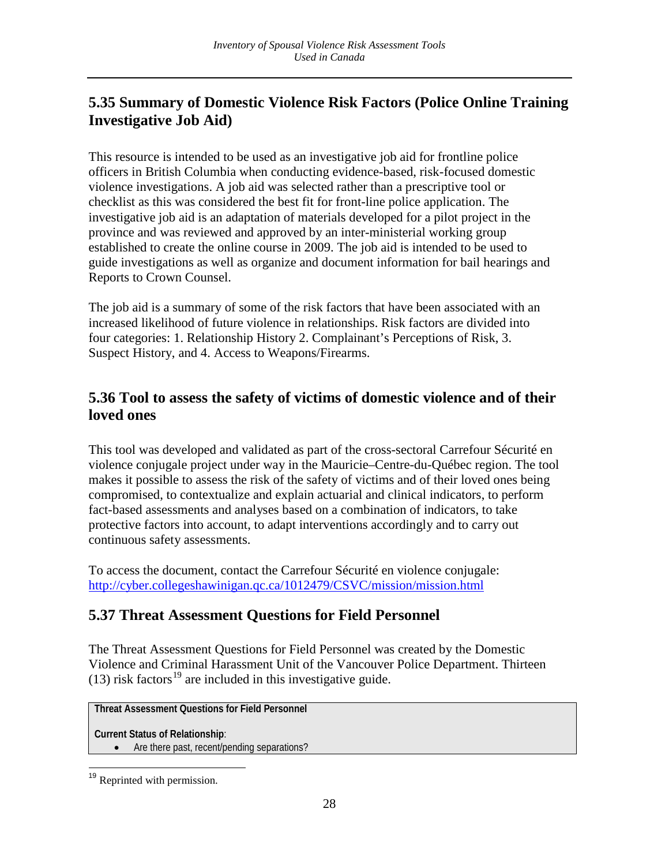# <span id="page-28-0"></span>**5.35 Summary of Domestic Violence Risk Factors (Police Online Training Investigative Job Aid)**

This resource is intended to be used as an investigative job aid for frontline police officers in British Columbia when conducting evidence-based, risk-focused domestic violence investigations. A job aid was selected rather than a prescriptive tool or checklist as this was considered the best fit for front-line police application. The investigative job aid is an adaptation of materials developed for a pilot project in the province and was reviewed and approved by an inter-ministerial working group established to create the online course in 2009. The job aid is intended to be used to guide investigations as well as organize and document information for bail hearings and Reports to Crown Counsel.

The job aid is a summary of some of the risk factors that have been associated with an increased likelihood of future violence in relationships. Risk factors are divided into four categories: 1. Relationship History 2. Complainant's Perceptions of Risk, 3. Suspect History, and 4. Access to Weapons/Firearms.

## <span id="page-28-1"></span>**5.36 Tool to assess the safety of victims of domestic violence and of their loved ones**

This tool was developed and validated as part of the cross-sectoral Carrefour Sécurité en violence conjugale project under way in the Mauricie–Centre-du-Québec region. The tool makes it possible to assess the risk of the safety of victims and of their loved ones being compromised, to contextualize and explain actuarial and clinical indicators, to perform fact-based assessments and analyses based on a combination of indicators, to take protective factors into account, to adapt interventions accordingly and to carry out continuous safety assessments.

To access the document, contact the Carrefour Sécurité en violence conjugale: <http://cyber.collegeshawinigan.qc.ca/1012479/CSVC/mission/mission.html>

# <span id="page-28-2"></span>**5.37 Threat Assessment Questions for Field Personnel**

The Threat Assessment Questions for Field Personnel was created by the Domestic Violence and Criminal Harassment Unit of the Vancouver Police Department. Thirteen (13) risk factors<sup>[19](#page-26-1)</sup> are included in this investigative guide.

**Threat Assessment Questions for Field Personnel**

**Current Status of Relationship**:

• Are there past, recent/pending separations?

<sup>&</sup>lt;sup>19</sup> Reprinted with permission.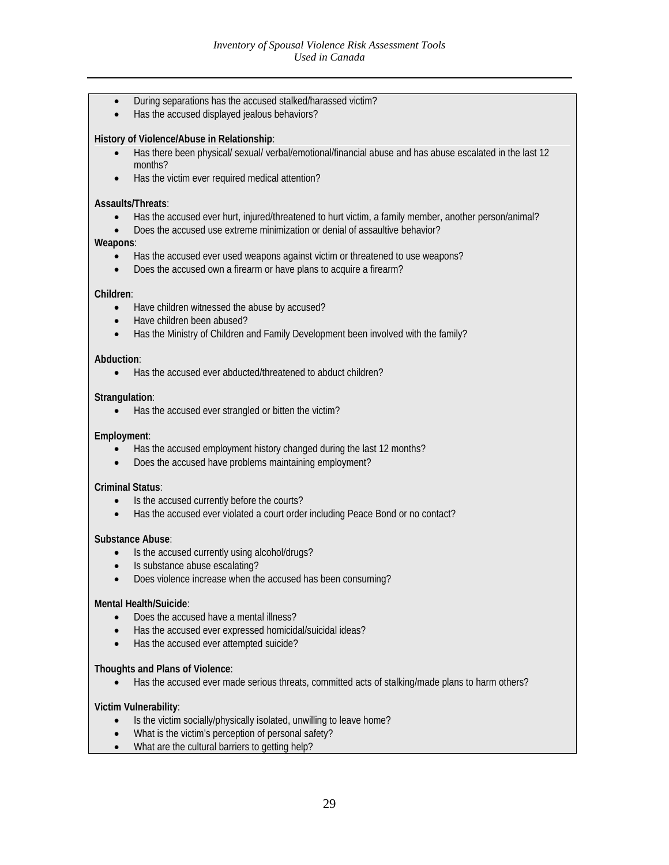- During separations has the accused stalked/harassed victim?
- Has the accused displayed jealous behaviors?

#### **History of Violence/Abuse in Relationship**:

- Has there been physical/ sexual/ verbal/emotional/financial abuse and has abuse escalated in the last 12 months?
- Has the victim ever required medical attention?

#### **Assaults/Threats**:

- Has the accused ever hurt, injured/threatened to hurt victim, a family member, another person/animal?
- Does the accused use extreme minimization or denial of assaultive behavior?

#### **Weapons**:

- Has the accused ever used weapons against victim or threatened to use weapons?
- Does the accused own a firearm or have plans to acquire a firearm?

#### **Children**:

- Have children witnessed the abuse by accused?
- Have children been abused?
- Has the Ministry of Children and Family Development been involved with the family?

#### **Abduction**:

• Has the accused ever abducted/threatened to abduct children?

#### **Strangulation**:

• Has the accused ever strangled or bitten the victim?

#### **Employment**:

- Has the accused employment history changed during the last 12 months?
- Does the accused have problems maintaining employment?

#### **Criminal Status**:

- Is the accused currently before the courts?
- Has the accused ever violated a court order including Peace Bond or no contact?

#### **Substance Abuse**:

- Is the accused currently using alcohol/drugs?
- Is substance abuse escalating?
- Does violence increase when the accused has been consuming?

#### **Mental Health/Suicide**:

- Does the accused have a mental illness?
- Has the accused ever expressed homicidal/suicidal ideas?
- Has the accused ever attempted suicide?

#### **Thoughts and Plans of Violence**:

• Has the accused ever made serious threats, committed acts of stalking/made plans to harm others?

#### **Victim Vulnerability**:

- Is the victim socially/physically isolated, unwilling to leave home?
- What is the victim's perception of personal safety?
- What are the cultural barriers to getting help?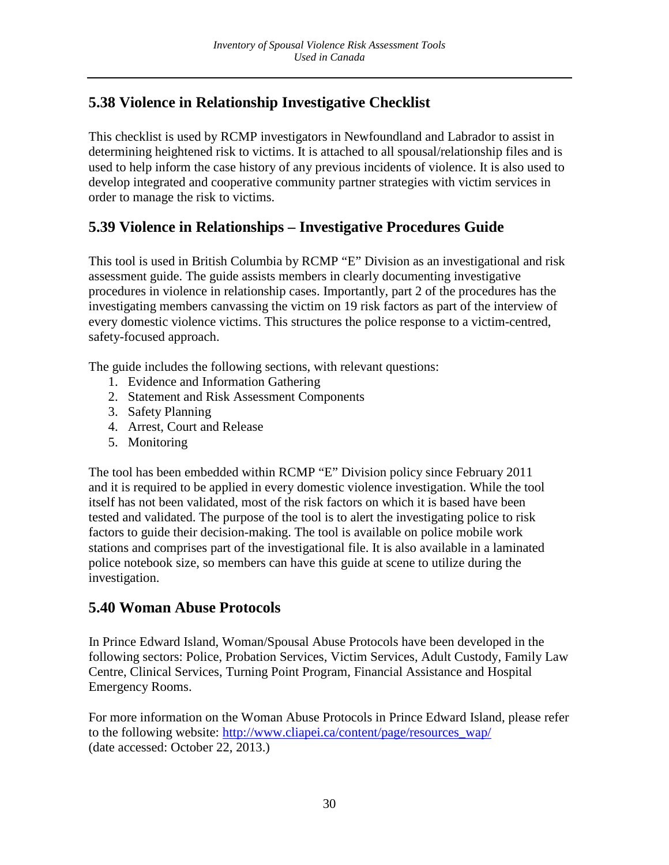# <span id="page-30-0"></span>**5.38 Violence in Relationship Investigative Checklist**

This checklist is used by RCMP investigators in Newfoundland and Labrador to assist in determining heightened risk to victims. It is attached to all spousal/relationship files and is used to help inform the case history of any previous incidents of violence. It is also used to develop integrated and cooperative community partner strategies with victim services in order to manage the risk to victims.

# <span id="page-30-1"></span>**5.39 Violence in Relationships – Investigative Procedures Guide**

This tool is used in British Columbia by RCMP "E" Division as an investigational and risk assessment guide. The guide assists members in clearly documenting investigative procedures in violence in relationship cases. Importantly, part 2 of the procedures has the investigating members canvassing the victim on 19 risk factors as part of the interview of every domestic violence victims. This structures the police response to a victim-centred, safety-focused approach.

The guide includes the following sections, with relevant questions:

- 1. Evidence and Information Gathering
- 2. Statement and Risk Assessment Components
- 3. Safety Planning
- 4. Arrest, Court and Release
- 5. Monitoring

The tool has been embedded within RCMP "E" Division policy since February 2011 and it is required to be applied in every domestic violence investigation. While the tool itself has not been validated, most of the risk factors on which it is based have been tested and validated. The purpose of the tool is to alert the investigating police to risk factors to guide their decision-making. The tool is available on police mobile work stations and comprises part of the investigational file. It is also available in a laminated police notebook size, so members can have this guide at scene to utilize during the investigation.

# <span id="page-30-2"></span>**5.40 Woman Abuse Protocols**

In Prince Edward Island, Woman/Spousal Abuse Protocols have been developed in the following sectors: Police, Probation Services, Victim Services, Adult Custody, Family Law Centre, Clinical Services, Turning Point Program, Financial Assistance and Hospital Emergency Rooms.

For more information on the Woman Abuse Protocols in Prince Edward Island, please refer to the following website: [http://www.cliapei.ca/content/page/resources\\_wap/](https://webmail.justice.gc.ca/OWA/redir.aspx?C=mOOrPZArBE68tu7qJgQd3cMuF0TLotAINvvP-rI3KMeSst2dWgFDF33pl8BL81yV_J8V-AhIvcE.&URL=http%3a%2f%2fwww.cliapei.ca%2fcontent%2fpage%2fresources_wap%2f) (date accessed: October 22, 2013.)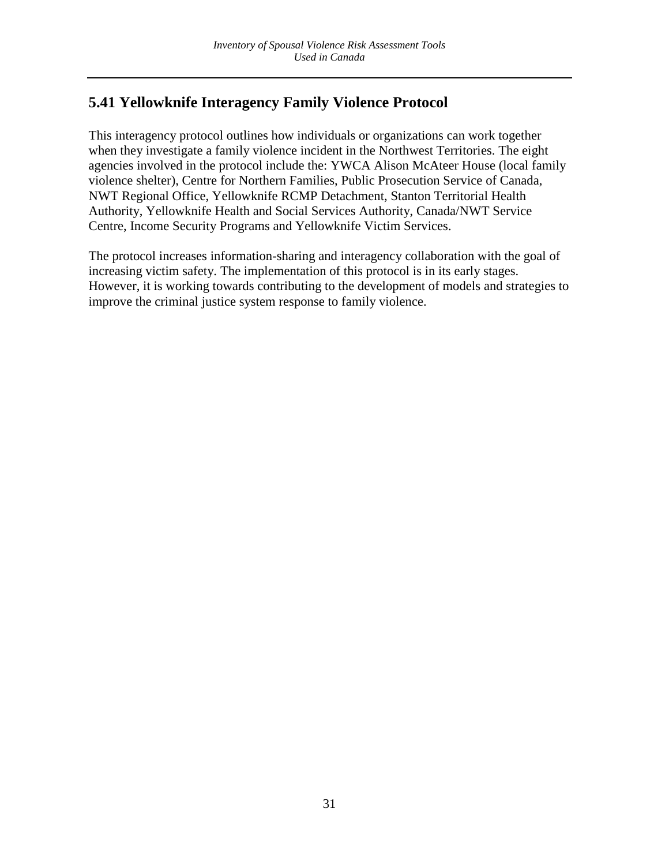# <span id="page-31-0"></span>**5.41 Yellowknife Interagency Family Violence Protocol**

This interagency protocol outlines how individuals or organizations can work together when they investigate a family violence incident in the Northwest Territories. The eight agencies involved in the protocol include the: YWCA Alison McAteer House (local family violence shelter), Centre for Northern Families, Public Prosecution Service of Canada, NWT Regional Office, Yellowknife RCMP Detachment, Stanton Territorial Health Authority, Yellowknife Health and Social Services Authority, Canada/NWT Service Centre, Income Security Programs and Yellowknife Victim Services.

The protocol increases information-sharing and interagency collaboration with the goal of increasing victim safety. The implementation of this protocol is in its early stages. However, it is working towards contributing to the development of models and strategies to improve the criminal justice system response to family violence.